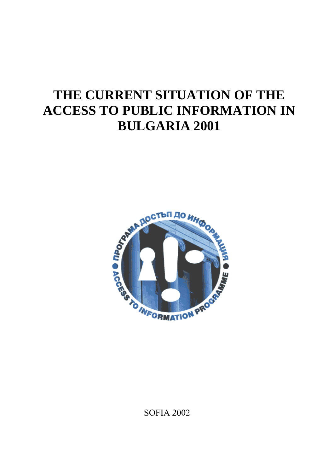# **THE CURRENT SITUATION OF THE ACCESS TO PUBLIC INFORMATION IN BULGARIA 2001**



SOFIA 2002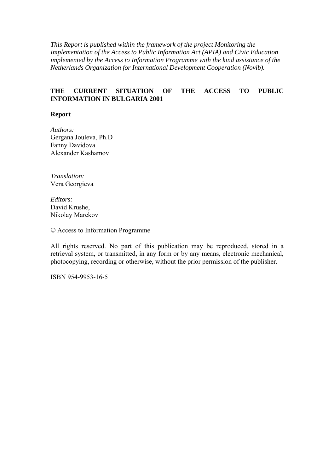*This Report is published within the framework of the project Monitoring the Implementation of the Access to Public Information Act (APIA) and Civic Education implemented by the Access to Information Programme with the kind assistance of the Netherlands Organization for International Development Cooperation (Novib).* 

#### **THE CURRENT SITUATION OF THE ACCESS TO PUBLIC INFORMATION IN BULGARIA 2001**

#### **Report**

*Authors:* Gergana Jouleva, Ph.D Fanny Davidova Alexander Kashamov

*Translation:* Vera Georgieva

*Editors:* David Krushe, Nikolay Marekov

© Access to Information Programme

All rights reserved. No part of this publication may be reproduced, stored in a retrieval system, or transmitted, in any form or by any means, electronic mechanical, photocopying, recording or otherwise, without the prior permission of the publisher.

ISBN 954-9953-16-5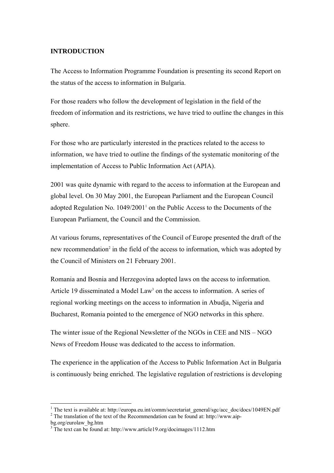#### **INTRODUCTION**

The Access to Information Programme Foundation is presenting its second Report on the status of the access to information in Bulgaria.

For those readers who follow the development of legislation in the field of the freedom of information and its restrictions, we have tried to outline the changes in this sphere.

For those who are particularly interested in the practices related to the access to information, we have tried to outline the findings of the systematic monitoring of the implementation of Access to Public Information Act (APIA).

2001 was quite dynamic with regard to the access to information at the European and global level. On 30 May 2001, the European Parliament and the European Council adopted Regulation No. 1049/2001<sup>1</sup> on the Public Access to the Documents of the European Parliament, the Council and the Commission.

At various forums, representatives of the Council of Europe presented the draft of the new recommendation<sup>2</sup> in the field of the access to information, which was adopted by the Council of Ministers on 21 February 2001.

Romania and Bosnia and Herzegovina adopted laws on the access to information. Article 19 disseminated a Model Law<sup>3</sup> on the access to information. A series of regional working meetings on the access to information in Abudja, Nigeria and Bucharest, Romania pointed to the emergence of NGO networks in this sphere.

The winter issue of the Regional Newsletter of the NGOs in CEE and NIS – NGO News of Freedom House was dedicated to the access to information.

The experience in the application of the Access to Public Information Act in Bulgaria is continuously being enriched. The legislative regulation of restrictions is developing

 $\overline{a}$ 

<sup>&</sup>lt;sup>1</sup> The text is available at: http://europa.eu.int/comm/secretariat\_general/sgc/acc\_doc/docs/1049EN.pdf  $^2$ .  $\frac{1}{2}$  The translation of the text of the Recommendation can be found at: http://www.aip-

bg.org/eurolaw\_bg.htm

<sup>&</sup>lt;sup>3</sup> The text can be found at: http://www.article19.org/docimages/1112.htm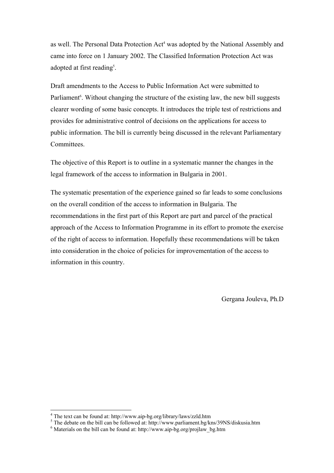as well. The Personal Data Protection Act<sup>4</sup> was adopted by the National Assembly and came into force on 1 January 2002. The Classified Information Protection Act was adopted at first reading<sup>5</sup>.

Draft amendments to the Access to Public Information Act were submitted to Parliament<sup>6</sup>. Without changing the structure of the existing law, the new bill suggests clearer wording of some basic concepts. It introduces the triple test of restrictions and provides for administrative control of decisions on the applications for access to public information. The bill is currently being discussed in the relevant Parliamentary Committees.

The objective of this Report is to outline in a systematic manner the changes in the legal framework of the access to information in Bulgaria in 2001.

The systematic presentation of the experience gained so far leads to some conclusions on the overall condition of the access to information in Bulgaria. The recommendations in the first part of this Report are part and parcel of the practical approach of the Access to Information Programme in its effort to promote the exercise of the right of access to information. Hopefully these recommendations will be taken into consideration in the choice of policies for improvementation of the access to information in this country.

Gergana Jouleva, Ph.D

 $\overline{a}$ 

 $4$  The text can be found at: http://www.aip-bg.org/library/laws/zzld.htm <sup>4</sup> The text can be found at: http://www.aip-bg.org/library/laws/zzld.htm  $\frac{5}{3}$ . The debate on the bill can be followed at: http://www.perliament.bo/la

The debate on the bill can be followed at: http://www.parliament.bg/kns/39NS/diskusia.htm  $^{6}$  Meterials on the bill can be found at: http://www.yain be erg/projlew, be htm

 $6$  Materials on the bill can be found at: http://www.aip-bg.org/projlaw bg.htm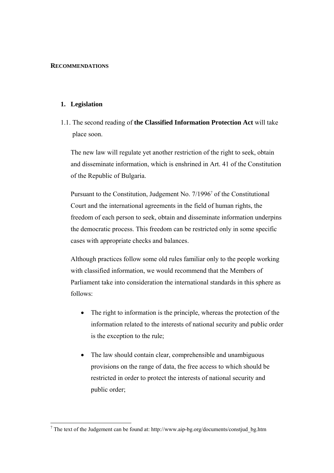#### **RECOMMENDATIONS**

#### **1. Legislation**

1.1. The second reading of **the Classified Information Protection Act** will take place soon.

The new law will regulate yet another restriction of the right to seek, obtain and disseminate information, which is enshrined in Art. 41 of the Constitution of the Republic of Bulgaria.

Pursuant to the Constitution, Judgement No. 7/1996<sup>7</sup> of the Constitutional Court and the international agreements in the field of human rights, the freedom of each person to seek, obtain and disseminate information underpins the democratic process. This freedom can be restricted only in some specific cases with appropriate checks and balances.

Although practices follow some old rules familiar only to the people working with classified information, we would recommend that the Members of Parliament take into consideration the international standards in this sphere as follows:

- The right to information is the principle, whereas the protection of the information related to the interests of national security and public order is the exception to the rule;
- The law should contain clear, comprehensible and unambiguous provisions on the range of data, the free access to which should be restricted in order to protect the interests of national security and public order;

<sup>&</sup>lt;sup>7</sup> The text of the Judgement can be found at: http://www.aip-bg.org/documents/constjud\_bg.htm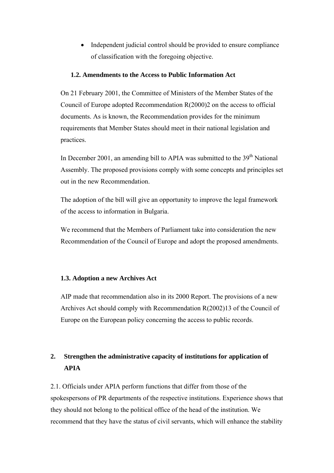• Independent judicial control should be provided to ensure compliance of classification with the foregoing objective.

#### **1.2. Amendments to the Access to Public Information Act**

On 21 February 2001, the Committee of Ministers of the Member States of the Council of Europe adopted Recommendation R(2000)2 on the access to official documents. As is known, the Recommendation provides for the minimum requirements that Member States should meet in their national legislation and practices.

In December 2001, an amending bill to APIA was submitted to the  $39<sup>th</sup>$  National Assembly. The proposed provisions comply with some concepts and principles set out in the new Recommendation.

The adoption of the bill will give an opportunity to improve the legal framework of the access to information in Bulgaria.

We recommend that the Members of Parliament take into consideration the new Recommendation of the Council of Europe and adopt the proposed amendments.

#### **1.3. Adoption a new Archives Act**

AIP made that recommendation also in its 2000 Report. The provisions of a new Archives Act should comply with Recommendation R(2002)13 of the Council of Europe on the European policy concerning the access to public records.

## **2. Strengthen the administrative capacity of institutions for application of APIA**

2.1. Officials under APIA perform functions that differ from those of the spokespersons of PR departments of the respective institutions. Experience shows that they should not belong to the political office of the head of the institution. We recommend that they have the status of civil servants, which will enhance the stability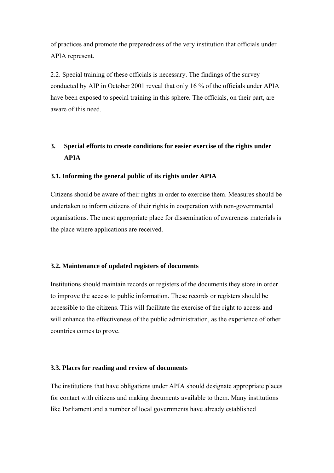of practices and promote the preparedness of the very institution that officials under APIA represent.

2.2. Special training of these officials is necessary. The findings of the survey conducted by AIP in October 2001 reveal that only 16 % of the officials under APIA have been exposed to special training in this sphere. The officials, on their part, are aware of this need.

## **3. Special efforts to create conditions for easier exercise of the rights under APIA**

#### **3.1. Informing the general public of its rights under APIA**

Citizens should be aware of their rights in order to exercise them. Measures should be undertaken to inform citizens of their rights in cooperation with non-governmental organisations. The most appropriate place for dissemination of awareness materials is the place where applications are received.

#### **3.2. Maintenance of updated registers of documents**

Institutions should maintain records or registers of the documents they store in order to improve the access to public information. These records or registers should be accessible to the citizens. This will facilitate the exercise of the right to access and will enhance the effectiveness of the public administration, as the experience of other countries comes to prove.

#### **3.3. Places for reading and review of documents**

The institutions that have obligations under APIA should designate appropriate places for contact with citizens and making documents available to them. Many institutions like Parliament and a number of local governments have already established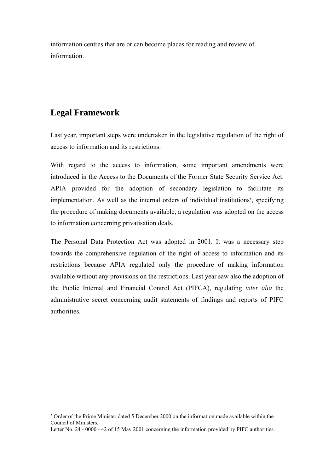information centres that are or can become places for reading and review of information.

## **Legal Framework**

 $\overline{a}$ 

Last year, important steps were undertaken in the legislative regulation of the right of access to information and its restrictions.

With regard to the access to information, some important amendments were introduced in the Access to the Documents of the Former State Security Service Act. APIA provided for the adoption of secondary legislation to facilitate its implementation. As well as the internal orders of individual institutions<sup>8</sup>, specifying the procedure of making documents available, a regulation was adopted on the access to information concerning privatisation deals.

The Personal Data Protection Act was adopted in 2001. It was a necessary step towards the comprehensive regulation of the right of access to information and its restrictions because APIA regulated only the procedure of making information available without any provisions on the restrictions. Last year saw also the adoption of the Public Internal and Financial Control Act (PIFCA), regulating *inter alia* the administrative secret concerning audit statements of findings and reports of PIFC authorities.

<sup>&</sup>lt;sup>8</sup> Order of the Prime Minister dated 5 December 2000 on the information made available within the Council of Ministers.

Letter No. 24 - 0000 - 42 of 15 May 2001 concerning the information provided by PIFC authorities.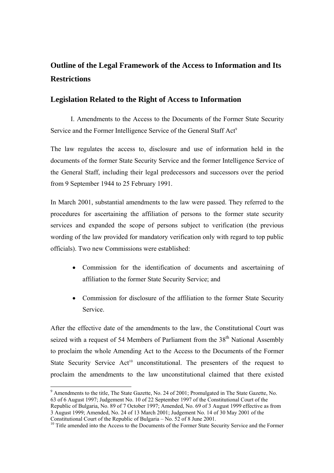## **Outline of the Legal Framework of the Access to Information and Its Restrictions**

## **Legislation Related to the Right of Access to Information**

І. Amendments to the Access to the Documents of the Former State Security Service and the Former Intelligence Service of the General Staff Act<sup>9</sup>

The law regulates the access to, disclosure and use of information held in the documents of the former State Security Service and the former Intelligence Service of the General Staff, including their legal predecessors and successors over the period from 9 September 1944 to 25 February 1991.

In March 2001, substantial amendments to the law were passed. They referred to the procedures for ascertaining the affiliation of persons to the former state security services and expanded the scope of persons subject to verification (the previous wording of the law provided for mandatory verification only with regard to top public officials). Two new Commissions were established:

- Commission for the identification of documents and ascertaining of affiliation to the former State Security Service; and
- Commission for disclosure of the affiliation to the former State Security Service.

After the effective date of the amendments to the law, the Constitutional Court was seized with a request of 54 Members of Parliament from the  $38<sup>th</sup>$  National Assembly to proclaim the whole Amending Act to the Access to the Documents of the Former State Security Service  $Act^{10}$  unconstitutional. The presenters of the request to proclaim the amendments to the law unconstitutional claimed that there existed

 $\overline{a}$ <sup>9</sup> Amendments to the title, The State Gazette, No. 24 of 2001; Promulgated in The State Gazette, No. 63 of 6 August 1997; Judgement No. 10 of 22 September 1997 of the Constitutional Court of the Republic of Bulgaria, No. 89 of 7 October 1997; Amended, No. 69 of 3 August 1999 effective as from 3 August 1999; Amended, No. 24 of 13 March 2001; Judgement No. 14 of 30 May 2001 of the Constitutional Court of the Republic of Bulgaria – No. 52 of 8 June 2001.

<sup>&</sup>lt;sup>10</sup> Title amended into the Access to the Documents of the Former State Security Service and the Former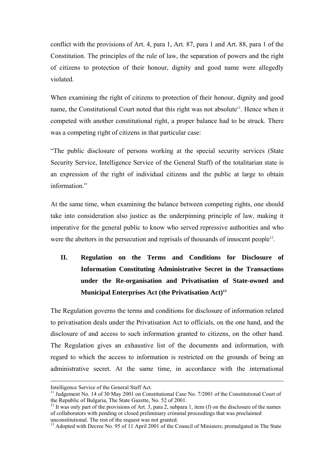conflict with the provisions of Art. 4, para 1, Art. 87, para 1 and Art. 88, para 1 of the Constitution. The principles of the rule of law, the separation of powers and the right of citizens to protection of their honour, dignity and good name were allegedly violated.

When examining the right of citizens to protection of their honour, dignity and good name, the Constitutional Court noted that this right was not absolute<sup>11</sup>. Hence when it competed with another constitutional right, a proper balance had to be struck. There was a competing right of citizens in that particular case:

ìThe public disclosure of persons working at the special security services (State Security Service, Intelligence Service of the General Staff) of the totalitarian state is an expression of the right of individual citizens and the public at large to obtain information"

At the same time, when examining the balance between competing rights, one should take into consideration also justice as the underpinning principle of law, making it imperative for the general public to know who served repressive authorities and who were the abettors in the persecution and reprisals of thousands of innocent people<sup>12</sup>.

## **II. Regulation on the Terms and Conditions for Disclosure of Information Constituting Administrative Secret in the Transactions under the Re-organisation and Privatisation of State-owned and Municipal Enterprises Act (the Privatisation Act)13**

The Regulation governs the terms and conditions for disclosure of information related to privatisation deals under the Privatisation Act to officials, on the one hand, and the disclosure of and access to such information granted to citizens, on the other hand. The Regulation gives an exhaustive list of the documents and information, with regard to which the access to information is restricted on the grounds of being an administrative secret. At the same time, in accordance with the international

Intelligence Service of the General Staff Act.<br><sup>11</sup> Judgement No. 14 of 30 May 2001 on Constitutional Case No. 7/2001 of the Constitutional Court of the Republic of Bulgaria, The State Gazette, No. 52 of 2001.

 $12$  It was only part of the provisions of Art. 3, para 2, subpara 1, item (f) on the disclosure of the names of collaborators with pending or closed preliminary criminal proceedings that was proclaimed unconstitutional. The rest of the request was not granted.

<sup>&</sup>lt;sup>13</sup> Adopted with Decree No. 95 of 11 April 2001 of the Council of Ministers; promulgated in The State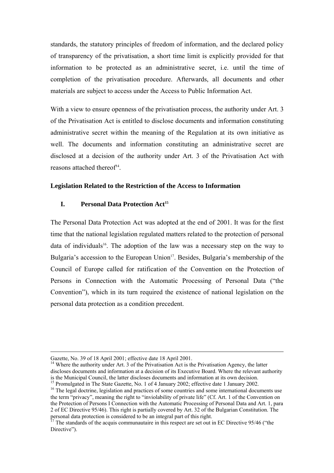standards, the statutory principles of freedom of information, and the declared policy of transparency of the privatisation, a short time limit is explicitly provided for that information to be protected as an administrative secret, i.e. until the time of completion of the privatisation procedure. Afterwards, all documents and other materials are subject to access under the Access to Public Information Act.

With a view to ensure openness of the privatisation process, the authority under Art. 3 of the Privatisation Act is entitled to disclose documents and information constituting administrative secret within the meaning of the Regulation at its own initiative as well. The documents and information constituting an administrative secret are disclosed at a decision of the authority under Art. 3 of the Privatisation Act with reasons attached thereof<sup> $14$ </sup>.

#### **Legislation Related to the Restriction of the Access to Information**

#### **I.** Personal Data Protection Act<sup>15</sup>

The Personal Data Protection Act was adopted at the end of 2001. It was for the first time that the national legislation regulated matters related to the protection of personal data of individuals<sup>16</sup>. The adoption of the law was a necessary step on the way to Bulgaria's accession to the European Union<sup>17</sup>. Besides, Bulgaria's membership of the Council of Europe called for ratification of the Convention on the Protection of Persons in Connection with the Automatic Processing of Personal Data ("the Conventionî), which in its turn required the existence of national legislation on the personal data protection as a condition precedent.

Gazette, No. 39 of 18 April 2001; effective date 18 April 2001.<br><sup>14</sup> Where the authority under Art. 3 of the Privatisation Act is the Privatisation Agency, the latter discloses documents and information at a decision of its Executive Board. Where the relevant authority is the Municipal Council, the latter discloses documents and information at its own decision.<br><sup>15</sup> Promulgated in The State Gazette, No. 1 of 4 January 2002; effective date 1 January 2002.

<sup>&</sup>lt;sup>16</sup> The legal doctrine, legislation and practices of some countries and some international documents use the term "privacy", meaning the right to "inviolability of private life" (Cf. Art. 1 of the Convention on the Protection of Persons I Connection with the Automatic Processing of Personal Data and Art. 1, para 2 of EC Directive 95/46). This right is partially covered by Art. 32 of the Bulgarian Constitution. The personal data protection is considered to be an integral part of this right.<br><sup>17</sup> The standards of the acquis communautaire in this respect are set out in EC Directive 95/46 ("the

Directive").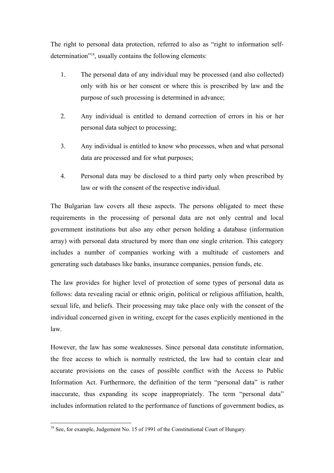The right to personal data protection, referred to also as "right to information selfdetermination<sup> $18$ </sup>, usually contains the following elements:

- 1. The personal data of any individual may be processed (and also collected) only with his or her consent or where this is prescribed by law and the purpose of such processing is determined in advance;
- 2. Any individual is entitled to demand correction of errors in his or her personal data subject to processing;
- 3. Any individual is entitled to know who processes, when and what personal data are processed and for what purposes;
- 4. Personal data may be disclosed to a third party only when prescribed by law or with the consent of the respective individual.

The Bulgarian law covers all these aspects. The persons obligated to meet these requirements in the processing of personal data are not only central and local government institutions but also any other person holding a database (information array) with personal data structured by more than one single criterion. This category includes a number of companies working with a multitude of customers and generating such databases like banks, insurance companies, pension funds, etc.

The law provides for higher level of protection of some types of personal data as follows: data revealing racial or ethnic origin, political or religious affiliation, health, sexual life, and beliefs. Their processing may take place only with the consent of the individual concerned given in writing, except for the cases explicitly mentioned in the law.

However, the law has some weaknesses. Since personal data constitute information, the free access to which is normally restricted, the law had to contain clear and accurate provisions on the cases of possible conflict with the Access to Public Information Act. Furthermore, the definition of the term "personal data" is rather inaccurate, thus expanding its scope inappropriately. The term "personal data" includes information related to the performance of functions of government bodies, as

 $\overline{a}$ 

<sup>&</sup>lt;sup>18</sup> See, for example, Judgement No. 15 of 1991 of the Constitutional Court of Hungary.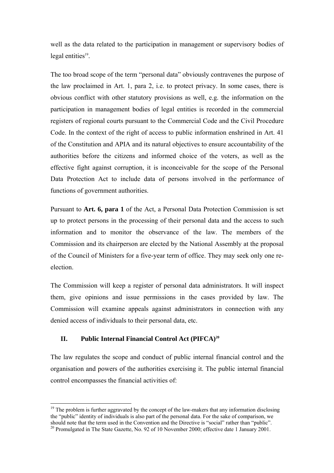well as the data related to the participation in management or supervisory bodies of legal entities $19$ .

The too broad scope of the term "personal data" obviously contravenes the purpose of the law proclaimed in Art. 1, para 2, i.e. to protect privacy. In some cases, there is obvious conflict with other statutory provisions as well, e.g. the information on the participation in management bodies of legal entities is recorded in the commercial registers of regional courts pursuant to the Commercial Code and the Civil Procedure Code. In the context of the right of access to public information enshrined in Art. 41 of the Constitution and APIA and its natural objectives to ensure accountability of the authorities before the citizens and informed choice of the voters, as well as the effective fight against corruption, it is inconceivable for the scope of the Personal Data Protection Act to include data of persons involved in the performance of functions of government authorities.

Pursuant to **Art. 6, para 1** of the Act, a Personal Data Protection Commission is set up to protect persons in the processing of their personal data and the access to such information and to monitor the observance of the law. The members of the Commission and its chairperson are elected by the National Assembly at the proposal of the Council of Ministers for a five-year term of office. They may seek only one reelection.

The Commission will keep a register of personal data administrators. It will inspect them, give opinions and issue permissions in the cases provided by law. The Commission will examine appeals against administrators in connection with any denied access of individuals to their personal data, etc.

## **II.** Public Internal Financial Control Act (PIFCA)<sup>20</sup>

 $\overline{a}$ 

The law regulates the scope and conduct of public internal financial control and the organisation and powers of the authorities exercising it. The public internal financial control encompasses the financial activities of:

 $19$  The problem is further aggravated by the concept of the law-makers that any information disclosing the "public" identity of individuals is also part of the personal data. For the sake of comparison, we should note that the term used in the Convention and the Directive is "social" rather than "public". <sup>20</sup> Promulgated in The State Gazette, No. 92 of 10 November 2000; effective date 1 January 2001.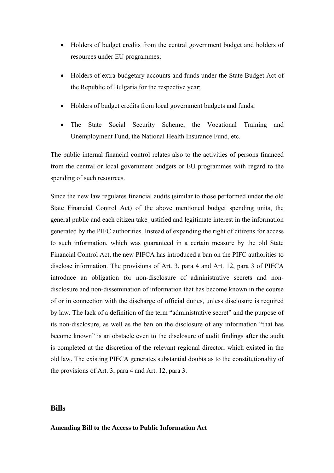- Holders of budget credits from the central government budget and holders of resources under EU programmes;
- Holders of extra-budgetary accounts and funds under the State Budget Act of the Republic of Bulgaria for the respective year;
- Holders of budget credits from local government budgets and funds;
- The State Social Security Scheme, the Vocational Training and Unemployment Fund, the National Health Insurance Fund, etc.

The public internal financial control relates also to the activities of persons financed from the central or local government budgets or EU programmes with regard to the spending of such resources.

Since the new law regulates financial audits (similar to those performed under the old State Financial Control Act) of the above mentioned budget spending units, the general public and each citizen take justified and legitimate interest in the information generated by the PIFC authorities. Instead of expanding the right of citizens for access to such information, which was guaranteed in a certain measure by the old State Financial Control Act, the new PIFCA has introduced a ban on the PIFC authorities to disclose information. The provisions of Art. 3, para 4 and Art. 12, para 3 of PIFCA introduce an obligation for non-disclosure of administrative secrets and nondisclosure and non-dissemination of information that has become known in the course of or in connection with the discharge of official duties, unless disclosure is required by law. The lack of a definition of the term "administrative secret" and the purpose of its non-disclosure, as well as the ban on the disclosure of any information "that has become known" is an obstacle even to the disclosure of audit findings after the audit is completed at the discretion of the relevant regional director, which existed in the old law. The existing PIFCA generates substantial doubts as to the constitutionality of the provisions of Art. 3, para 4 and Art. 12, para 3.

#### **Bills**

**Amending Bill to the Access to Public Information Act**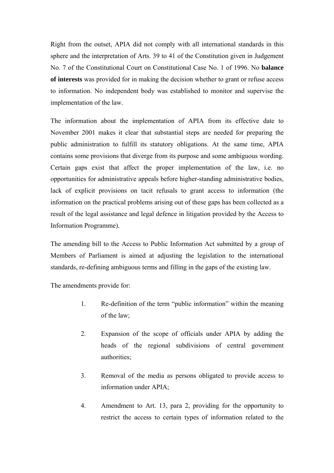Right from the outset, APIA did not comply with all international standards in this sphere and the interpretation of Arts. 39 to 41 of the Constitution given in Judgement No. 7 of the Constitutional Court on Constitutional Case No. 1 of 1996. No **balance of interests** was provided for in making the decision whether to grant or refuse access to information. No independent body was established to monitor and supervise the implementation of the law.

The information about the implementation of APIA from its effective date to November 2001 makes it clear that substantial steps are needed for preparing the public administration to fulfill its statutory obligations. At the same time, APIA contains some provisions that diverge from its purpose and some ambiguous wording. Certain gaps exist that affect the proper implementation of the law, i.e. no opportunities for administrative appeals before higher-standing administrative bodies, lack of explicit provisions on tacit refusals to grant access to information (the information on the practical problems arising out of these gaps has been collected as a result of the legal assistance and legal defence in litigation provided by the Access to Information Programme).

The amending bill to the Access to Public Information Act submitted by a group of Members of Parliament is aimed at adjusting the legislation to the international standards, re-defining ambiguous terms and filling in the gaps of the existing law.

The amendments provide for:

- 1. Re-definition of the term "public information" within the meaning of the law;
- 2. Expansion of the scope of officials under APIA by adding the heads of the regional subdivisions of central government authorities;
- 3. Removal of the media as persons obligated to provide access to information under APIA;
- 4. Amendment to Art. 13, para 2, providing for the opportunity to restrict the access to certain types of information related to the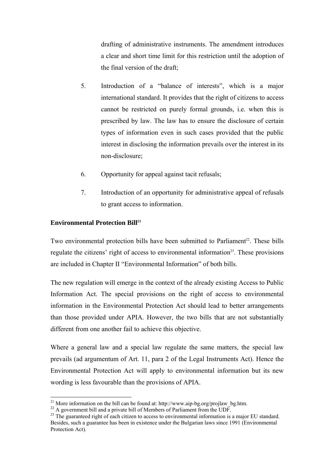drafting of administrative instruments. The amendment introduces a clear and short time limit for this restriction until the adoption of the final version of the draft;

- 5. Introduction of a "balance of interests", which is a major international standard. It provides that the right of citizens to access cannot be restricted on purely formal grounds, i.e. when this is prescribed by law. The law has to ensure the disclosure of certain types of information even in such cases provided that the public interest in disclosing the information prevails over the interest in its non-disclosure;
- 6. Opportunity for appeal against tacit refusals;
- 7. Introduction of an opportunity for administrative appeal of refusals to grant access to information.

#### **Environmental Protection Bill<sup>21</sup>**

 $\overline{a}$ 

Two environmental protection bills have been submitted to Parliament<sup>22</sup>. These bills regulate the citizens' right of access to environmental information<sup>23</sup>. These provisions are included in Chapter II "Environmental Information" of both bills.

The new regulation will emerge in the context of the already existing Access to Public Information Act. The special provisions on the right of access to environmental information in the Environmental Protection Act should lead to better arrangements than those provided under APIA. However, the two bills that are not substantially different from one another fail to achieve this objective.

Where a general law and a special law regulate the same matters, the special law prevails (ad argumentum of Art. 11, para 2 of the Legal Instruments Act). Hence the Environmental Protection Act will apply to environmental information but its new wording is less favourable than the provisions of APIA.

<sup>&</sup>lt;sup>21</sup> More information on the bill can be found at: http://www.aip-bg.org/projlaw\_bg.htm.<br><sup>22</sup> A government bill and a private bill of Members of Parliament from the UDF.<br><sup>23</sup> The guaranteed right of each citizen to access Besides, such a guarantee has been in existence under the Bulgarian laws since 1991 (Environmental Protection Act).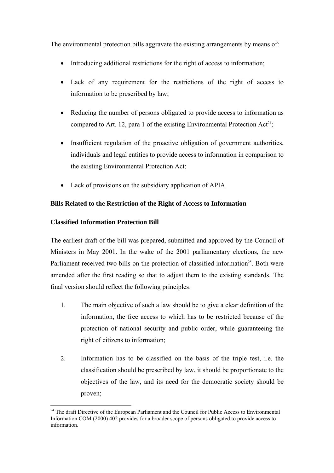The environmental protection bills aggravate the existing arrangements by means of:

- Introducing additional restrictions for the right of access to information;
- Lack of any requirement for the restrictions of the right of access to information to be prescribed by law;
- Reducing the number of persons obligated to provide access to information as compared to Art. 12, para 1 of the existing Environmental Protection Act<sup>24</sup>;
- Insufficient regulation of the proactive obligation of government authorities, individuals and legal entities to provide access to information in comparison to the existing Environmental Protection Act;
- Lack of provisions on the subsidiary application of APIA.

### **Bills Related to the Restriction of the Right of Access to Information**

#### **Classified Information Protection Bill**

 $\overline{a}$ 

The earliest draft of the bill was prepared, submitted and approved by the Council of Ministers in May 2001. In the wake of the 2001 parliamentary elections, the new Parliament received two bills on the protection of classified information<sup>25</sup>. Both were amended after the first reading so that to adjust them to the existing standards. The final version should reflect the following principles:

- 1. The main objective of such a law should be to give a clear definition of the information, the free access to which has to be restricted because of the protection of national security and public order, while guaranteeing the right of citizens to information;
- 2. Information has to be classified on the basis of the triple test, i.e. the classification should be prescribed by law, it should be proportionate to the objectives of the law, and its need for the democratic society should be proven;

<sup>&</sup>lt;sup>24</sup> The draft Directive of the European Parliament and the Council for Public Access to Environmental Information COM (2000) 402 provides for a broader scope of persons obligated to provide access to information.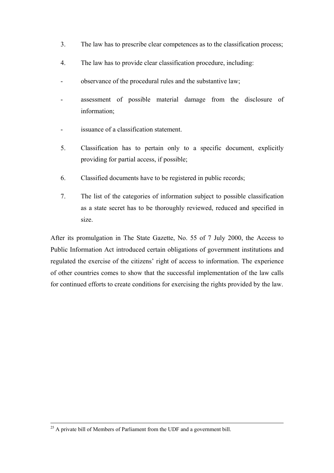- 3. The law has to prescribe clear competences as to the classification process;
- 4. The law has to provide clear classification procedure, including:
- observance of the procedural rules and the substantive law;
- assessment of possible material damage from the disclosure of information;
- issuance of a classification statement.
- 5. Classification has to pertain only to a specific document, explicitly providing for partial access, if possible;
- 6. Classified documents have to be registered in public records;
- 7. The list of the categories of information subject to possible classification as a state secret has to be thoroughly reviewed, reduced and specified in size.

After its promulgation in The State Gazette, No. 55 of 7 July 2000, the Access to Public Information Act introduced certain obligations of government institutions and regulated the exercise of the citizens' right of access to information. The experience of other countries comes to show that the successful implementation of the law calls for continued efforts to create conditions for exercising the rights provided by the law.

 $25$  A private bill of Members of Parliament from the UDF and a government bill.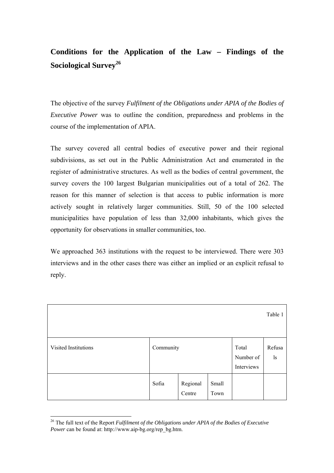## **Conditions for the Application of the Law – Findings of the Sociological Survey<sup>26</sup>**

The objective of the survey *Fulfilment of the Obligations under APIA of the Bodies of Executive Power* was to outline the condition, preparedness and problems in the course of the implementation of APIA.

The survey covered all central bodies of executive power and their regional subdivisions, as set out in the Public Administration Act and enumerated in the register of administrative structures. As well as the bodies of central government, the survey covers the 100 largest Bulgarian municipalities out of a total of 262. The reason for this manner of selection is that access to public information is more actively sought in relatively larger communities. Still, 50 of the 100 selected municipalities have population of less than 32,000 inhabitants, which gives the opportunity for observations in smaller communities, too.

We approached 363 institutions with the request to be interviewed. There were 303 interviews and in the other cases there was either an implied or an explicit refusal to reply.

|                      |           |                    |               |                                  | Table 1         |
|----------------------|-----------|--------------------|---------------|----------------------------------|-----------------|
| Visited Institutions | Community |                    |               | Total<br>Number of<br>Interviews | Refusa<br>$\lg$ |
|                      | Sofia     | Regional<br>Centre | Small<br>Town |                                  |                 |

<sup>26</sup> The full text of the Report *Fulfilment of the Obligations under APIA of the Bodies of Executive Power* can be found at: http://www.aip-bg.org/rep\_bg.htm.

 $\overline{a}$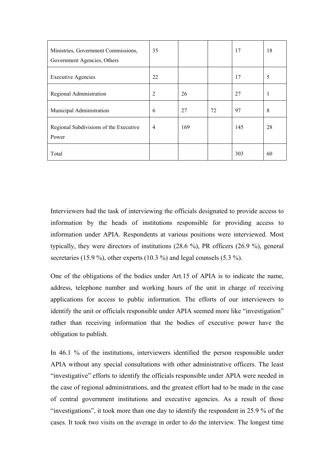| Ministries, Government Commissions,<br>Government Agencies, Others | 35             |     |    | 17  | 18 |
|--------------------------------------------------------------------|----------------|-----|----|-----|----|
| <b>Executive Agencies</b>                                          | 22             |     |    | 17  | 5  |
| Regional Administration                                            | $\overline{2}$ | 26  |    | 27  | 1  |
| Municipal Administration                                           | 6              | 27  | 72 | 97  | 8  |
| Regional Subdivisions of the Executive<br>Power                    | $\overline{4}$ | 169 |    | 145 | 28 |
| Total                                                              |                |     |    | 303 | 60 |

Interviewers had the task of interviewing the officials designated to provide access to information by the heads of institutions responsible for providing access to information under APIA. Respondents at various positions were interviewed. Most typically, they were directors of institutions (28.6 %), PR officers (26.9 %), general secretaries (15.9 %), other experts (10.3 %) and legal counsels (5.3 %).

One of the obligations of the bodies under Art.15 of APIA is to indicate the name, address, telephone number and working hours of the unit in charge of receiving applications for access to public information. The efforts of our interviewers to identify the unit or officials responsible under APIA seemed more like "investigation" rather than receiving information that the bodies of executive power have the obligation to publish.

In 46.1 % of the institutions, interviewers identified the person responsible under APIA without any special consultations with other administrative officers. The least "investigative" efforts to identify the officials responsible under APIA were needed in the case of regional administrations, and the greatest effort had to be made in the case of central government institutions and executive agencies. As a result of those "investigations", it took more than one day to identify the respondent in  $25.9\%$  of the cases. It took two visits on the average in order to do the interview. The longest time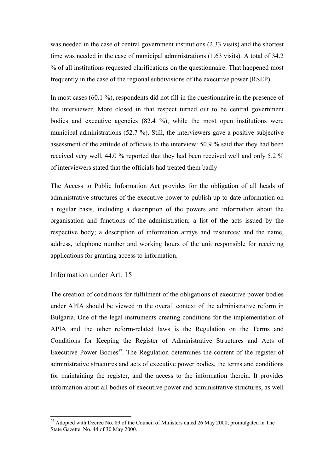was needed in the case of central government institutions (2.33 visits) and the shortest time was needed in the case of municipal administrations (1.63 visits). A total of 34.2 % of all institutions requested clarifications on the questionnaire. That happened most frequently in the case of the regional subdivisions of the executive power (RSEP).

In most cases (60.1 %), respondents did not fill in the questionnaire in the presence of the interviewer. More closed in that respect turned out to be central government bodies and executive agencies (82.4 %), while the most open institutions were municipal administrations (52.7 %). Still, the interviewers gave a positive subjective assessment of the attitude of officials to the interview: 50.9 % said that they had been received very well, 44.0 % reported that they had been received well and only 5.2 % of interviewers stated that the officials had treated them badly.

The Access to Public Information Act provides for the obligation of all heads of administrative structures of the executive power to publish up-to-date information on a regular basis, including a description of the powers and information about the organisation and functions of the administration; a list of the acts issued by the respective body; a description of information arrays and resources; and the name, address, telephone number and working hours of the unit responsible for receiving applications for granting access to information.

#### Information under Art. 15

 $\overline{a}$ 

The creation of conditions for fulfilment of the obligations of executive power bodies under APIA should be viewed in the overall context of the administrative reform in Bulgaria. One of the legal instruments creating conditions for the implementation of APIA and the other reform-related laws is the Regulation on the Terms and Conditions for Keeping the Register of Administrative Structures and Acts of Executive Power Bodies<sup>27</sup>. The Regulation determines the content of the register of administrative structures and acts of executive power bodies, the terms and conditions for maintaining the register, and the access to the information therein. It provides information about all bodies of executive power and administrative structures, as well

 $27$  Adopted with Decree No. 89 of the Council of Ministers dated 26 May 2000; promulgated in The State Gazette, No. 44 of 30 May 2000.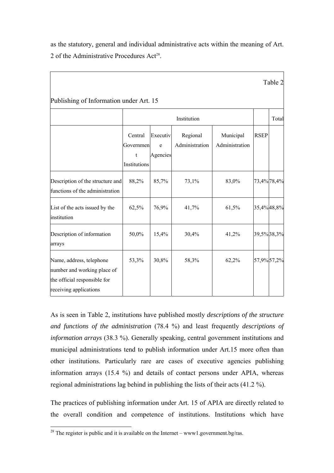as the statutory, general and individual administrative acts within the meaning of Art. 2 of the Administrative Procedures  $Act^{28}$ .

|                                                                                                                   |                                           |                           |                            |                             |             | Table 2 |
|-------------------------------------------------------------------------------------------------------------------|-------------------------------------------|---------------------------|----------------------------|-----------------------------|-------------|---------|
| Publishing of Information under Art. 15                                                                           |                                           |                           |                            |                             |             |         |
|                                                                                                                   |                                           |                           | Institution                |                             |             | Total   |
|                                                                                                                   | Central<br>Governmen<br>t<br>Institutions | Executiv<br>e<br>Agencies | Regional<br>Administration | Municipal<br>Administration | <b>RSEP</b> |         |
| Description of the structure and<br>functions of the administration                                               | 88,2%                                     | 85,7%                     | 73,1%                      | 83,0%                       | 73,4%78,4%  |         |
| List of the acts issued by the<br>institution                                                                     | 62,5%                                     | 76,9%                     | 41,7%                      | 61,5%                       | 35,4%48,8%  |         |
| Description of information<br>arrays                                                                              | 50,0%                                     | 15,4%                     | 30,4%                      | 41,2%                       | 39,5%38,3%  |         |
| Name, address, telephone<br>number and working place of<br>the official responsible for<br>receiving applications | 53,3%                                     | 30,8%                     | 58,3%                      | 62,2%                       | 57,9%57,2%  |         |

As is seen in Table 2, institutions have published mostly *descriptions of the structure and functions of the administration* (78.4 %) and least frequently *descriptions of information arrays* (38.3 %). Generally speaking, central government institutions and municipal administrations tend to publish information under Art.15 more often than other institutions. Particularly rare are cases of executive agencies publishing information arrays (15.4 %) and details of contact persons under APIA, whereas regional administrations lag behind in publishing the lists of their acts (41.2 %).

The practices of publishing information under Art. 15 of APIA are directly related to the overall condition and competence of institutions. Institutions which have

 $\overline{a}$ <sup>28</sup> The register is public and it is available on the Internet – www1.government.bg/ras.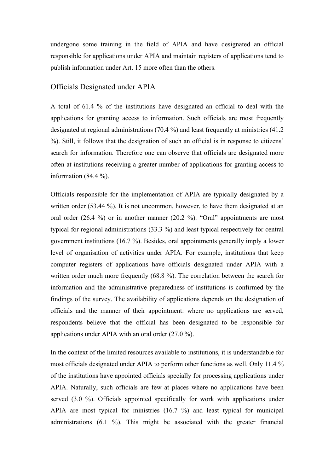undergone some training in the field of APIA and have designated an official responsible for applications under APIA and maintain registers of applications tend to publish information under Art. 15 more often than the others.

#### Officials Designated under APIA

A total of 61.4 % of the institutions have designated an official to deal with the applications for granting access to information. Such officials are most frequently designated at regional administrations (70.4 %) and least frequently at ministries (41.2 %). Still, it follows that the designation of such an official is in response to citizens<sup>7</sup> search for information. Therefore one can observe that officials are designated more often at institutions receiving a greater number of applications for granting access to information  $(84.4\%).$ 

Officials responsible for the implementation of APIA are typically designated by a written order (53.44 %). It is not uncommon, however, to have them designated at an oral order  $(26.4 \%)$  or in another manner  $(20.2 \%)$ . "Oral" appointments are most typical for regional administrations (33.3 %) and least typical respectively for central government institutions (16.7 %). Besides, oral appointments generally imply a lower level of organisation of activities under APIA. For example, institutions that keep computer registers of applications have officials designated under APIA with a written order much more frequently (68.8 %). The correlation between the search for information and the administrative preparedness of institutions is confirmed by the findings of the survey. The availability of applications depends on the designation of officials and the manner of their appointment: where no applications are served, respondents believe that the official has been designated to be responsible for applications under APIA with an oral order (27.0 %).

In the context of the limited resources available to institutions, it is understandable for most officials designated under APIA to perform other functions as well. Only 11.4 % of the institutions have appointed officials specially for processing applications under APIA. Naturally, such officials are few at places where no applications have been served (3.0 %). Officials appointed specifically for work with applications under APIA are most typical for ministries (16.7 %) and least typical for municipal administrations (6.1 %). This might be associated with the greater financial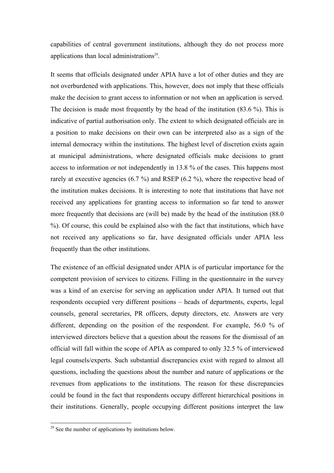capabilities of central government institutions, although they do not process more applications than local administrations $29$ .

It seems that officials designated under APIA have a lot of other duties and they are not overburdened with applications. This, however, does not imply that these officials make the decision to grant access to information or not when an application is served. The decision is made most frequently by the head of the institution (83.6 %). This is indicative of partial authorisation only. The extent to which designated officials are in a position to make decisions on their own can be interpreted also as a sign of the internal democracy within the institutions. The highest level of discretion exists again at municipal administrations, where designated officials make decisions to grant access to information or not independently in 13.8 % of the cases. This happens most rarely at executive agencies (6.7 %) and RSEP (6.2 %), where the respective head of the institution makes decisions. It is interesting to note that institutions that have not received any applications for granting access to information so far tend to answer more frequently that decisions are (will be) made by the head of the institution (88.0 %). Of course, this could be explained also with the fact that institutions, which have not received any applications so far, have designated officials under APIA less frequently than the other institutions.

The existence of an official designated under APIA is of particular importance for the competent provision of services to citizens. Filling in the questionnaire in the survey was a kind of an exercise for serving an application under APIA. It turned out that respondents occupied very different positions – heads of departments, experts, legal counsels, general secretaries, PR officers, deputy directors, etc. Answers are very different, depending on the position of the respondent. For example, 56.0 % of interviewed directors believe that a question about the reasons for the dismissal of an official will fall within the scope of APIA as compared to only 32.5 % of interviewed legal counsels/experts. Such substantial discrepancies exist with regard to almost all questions, including the questions about the number and nature of applications or the revenues from applications to the institutions. The reason for these discrepancies could be found in the fact that respondents occupy different hierarchical positions in their institutions. Generally, people occupying different positions interpret the law

 $\overline{a}$ 

 $29$  See the number of applications by institutions below.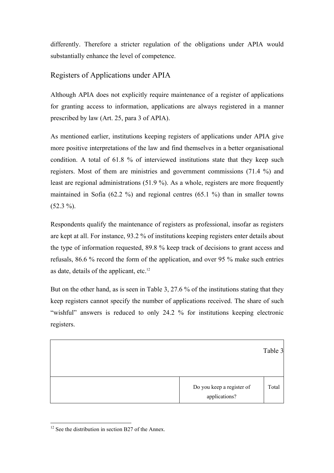differently. Therefore a stricter regulation of the obligations under APIA would substantially enhance the level of competence.

## Registers of Applications under APIA

Although APIA does not explicitly require maintenance of a register of applications for granting access to information, applications are always registered in a manner prescribed by law (Art. 25, para 3 of APIA).

As mentioned earlier, institutions keeping registers of applications under APIA give more positive interpretations of the law and find themselves in a better organisational condition. A total of 61.8 % of interviewed institutions state that they keep such registers. Most of them are ministries and government commissions (71.4 %) and least are regional administrations (51.9 %). As a whole, registers are more frequently maintained in Sofia (62.2 %) and regional centres (65.1 %) than in smaller towns  $(52.3\%).$ 

Respondents qualify the maintenance of registers as professional, insofar as registers are kept at all. For instance, 93.2 % of institutions keeping registers enter details about the type of information requested, 89.8 % keep track of decisions to grant access and refusals, 86.6 % record the form of the application, and over 95 % make such entries as date, details of the applicant, etc.<sup>12</sup>

But on the other hand, as is seen in Table 3, 27.6 % of the institutions stating that they keep registers cannot specify the number of applications received. The share of such ìwishfulî answers is reduced to only 24.2 % for institutions keeping electronic registers.

Table 3

| Do you keep a register of |  |  |  |
|---------------------------|--|--|--|
| applications?             |  |  |  |

 $\overline{a}$  $12$  See the distribution in section B27 of the Annex.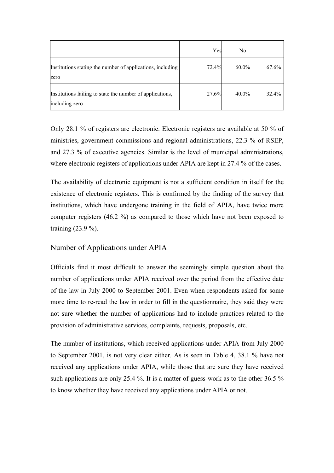|                                                                             | Yes   | No       |       |
|-----------------------------------------------------------------------------|-------|----------|-------|
| Institutions stating the number of applications, including<br>zero          | 72.4% | $60.0\%$ | 67.6% |
| Institutions failing to state the number of applications,<br>including zero | 27.6% | 40.0%    | 32.4% |

Only 28.1 % of registers are electronic. Electronic registers are available at 50 % of ministries, government commissions and regional administrations, 22.3 % of RSEP, and 27.3 % of executive agencies. Similar is the level of municipal administrations, where electronic registers of applications under APIA are kept in 27.4 % of the cases.

The availability of electronic equipment is not a sufficient condition in itself for the existence of electronic registers. This is confirmed by the finding of the survey that institutions, which have undergone training in the field of APIA, have twice more computer registers (46.2 %) as compared to those which have not been exposed to training (23.9 %).

#### Number of Applications under APIA

Officials find it most difficult to answer the seemingly simple question about the number of applications under APIA received over the period from the effective date of the law in July 2000 to September 2001. Even when respondents asked for some more time to re-read the law in order to fill in the questionnaire, they said they were not sure whether the number of applications had to include practices related to the provision of administrative services, complaints, requests, proposals, etc.

The number of institutions, which received applications under APIA from July 2000 to September 2001, is not very clear either. As is seen in Table 4, 38.1 % have not received any applications under APIA, while those that are sure they have received such applications are only 25.4 %. It is a matter of guess-work as to the other 36.5 % to know whether they have received any applications under APIA or not.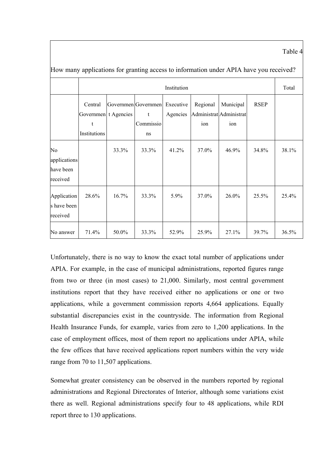Table 4

|                                             | Institution                  |                      |                                                       |          |                 |                                             |             |       |  |
|---------------------------------------------|------------------------------|----------------------|-------------------------------------------------------|----------|-----------------|---------------------------------------------|-------------|-------|--|
|                                             | Central<br>t<br>Institutions | Governmen t Agencies | Governmen Governmen Executive<br>t<br>Commissio<br>ns | Agencies | Regional<br>ion | Municipal<br>Administrat Administrat<br>ion | <b>RSEP</b> |       |  |
| No<br>applications<br>have been<br>received |                              | 33.3%                | 33.3%                                                 | 41.2%    | 37.0%           | 46.9%                                       | 34.8%       | 38.1% |  |
| Application<br>s have been<br>received      | 28.6%                        | 16.7%                | 33.3%                                                 | 5.9%     | 37.0%           | 26.0%                                       | 25.5%       | 25.4% |  |
| No answer                                   | 71.4%                        | 50.0%                | 33.3%                                                 | 52.9%    | 25.9%           | 27.1%                                       | 39.7%       | 36.5% |  |

How many applications for granting access to information under APIA have you received?

Unfortunately, there is no way to know the exact total number of applications under APIA. For example, in the case of municipal administrations, reported figures range from two or three (in most cases) to 21,000. Similarly, most central government institutions report that they have received either no applications or one or two applications, while a government commission reports 4,664 applications. Equally substantial discrepancies exist in the countryside. The information from Regional Health Insurance Funds, for example, varies from zero to 1,200 applications. In the case of employment offices, most of them report no applications under APIA, while the few offices that have received applications report numbers within the very wide range from 70 to 11,507 applications.

Somewhat greater consistency can be observed in the numbers reported by regional administrations and Regional Directorates of Interior, although some variations exist there as well. Regional administrations specify four to 48 applications, while RDI report three to 130 applications.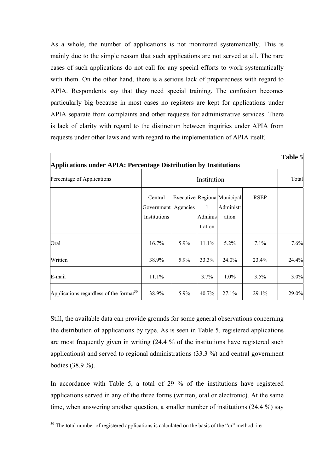As a whole, the number of applications is not monitored systematically. This is mainly due to the simple reason that such applications are not served at all. The rare cases of such applications do not call for any special efforts to work systematically with them. On the other hand, there is a serious lack of preparedness with regard to APIA. Respondents say that they need special training. The confusion becomes particularly big because in most cases no registers are kept for applications under APIA separate from complaints and other requests for administrative services. There is lack of clarity with regard to the distinction between inquiries under APIA from requests under other laws and with regard to the implementation of APIA itself.

|                                                                         |                                                |      |                         |                                                   |             | Table 5 |
|-------------------------------------------------------------------------|------------------------------------------------|------|-------------------------|---------------------------------------------------|-------------|---------|
| <b>Applications under APIA: Percentage Distribution by Institutions</b> |                                                |      |                         |                                                   |             |         |
| Percentage of Applications                                              |                                                |      | Institution             |                                                   |             | Total   |
|                                                                         | Central<br>Government Agencies<br>Institutions |      | 1<br>Adminis<br>tration | Executive Regiona Municipal<br>Administr<br>ation | <b>RSEP</b> |         |
| Oral                                                                    | 16.7%                                          | 5.9% | 11.1%                   | $5.2\%$                                           | 7.1%        | 7.6%    |
| Written                                                                 | 38.9%                                          | 5.9% | 33.3%                   | 24.0%                                             | 23.4%       | 24.4%   |
| E-mail                                                                  | 11.1%                                          |      | $3.7\%$                 | $1.0\%$                                           | 3.5%        | 3.0%    |
| Applications regardless of the format <sup>30</sup>                     | 38.9%                                          | 5.9% | 40.7%                   | 27.1%                                             | 29.1%       | 29.0%   |

Still, the available data can provide grounds for some general observations concerning the distribution of applications by type. As is seen in Table 5, registered applications are most frequently given in writing (24.4 % of the institutions have registered such applications) and served to regional administrations (33.3 %) and central government bodies (38.9 %).

In accordance with Table 5, a total of 29 % of the institutions have registered applications served in any of the three forms (written, oral or electronic). At the same time, when answering another question, a smaller number of institutions (24.4 %) say

 $\overline{a}$ 

 $30$  The total number of registered applications is calculated on the basis of the "or" method, i.e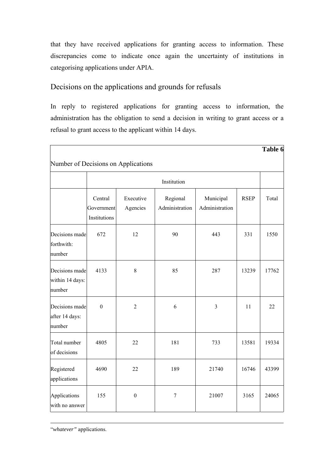that they have received applications for granting access to information. These discrepancies come to indicate once again the uncertainty of institutions in categorising applications under APIA.

## Decisions on the applications and grounds for refusals

In reply to registered applications for granting access to information, the administration has the obligation to send a decision in writing to grant access or a refusal to grant access to the applicant within 14 days.

|                                             |                                       |                                     |                            |                             |             | Table 6 |
|---------------------------------------------|---------------------------------------|-------------------------------------|----------------------------|-----------------------------|-------------|---------|
|                                             |                                       | Number of Decisions on Applications |                            |                             |             |         |
|                                             |                                       |                                     | Institution                |                             |             |         |
|                                             | Central<br>Government<br>Institutions | Executive<br>Agencies               | Regional<br>Administration | Municipal<br>Administration | <b>RSEP</b> | Total   |
| Decisions made<br>forthwith:<br>number      | 672                                   | 12                                  | 90                         | 443                         | 331         | 1550    |
| Decisions made<br>within 14 days:<br>number | 4133                                  | $\,8\,$                             | 85                         | 287                         | 13239       | 17762   |
| Decisions made<br>after 14 days:<br>number  | $\mathbf{0}$                          | $\overline{2}$                      | 6                          | $\overline{3}$              | 11          | 22      |
| Total number<br>of decisions                | 4805                                  | 22                                  | 181                        | 733                         | 13581       | 19334   |
| Registered<br>applications                  | 4690                                  | 22                                  | 189                        | 21740                       | 16746       | 43399   |
| Applications<br>with no answer              | 155                                   | $\boldsymbol{0}$                    | $\overline{7}$             | 21007                       | 3165        | 24065   |

ì*whatever"* applications.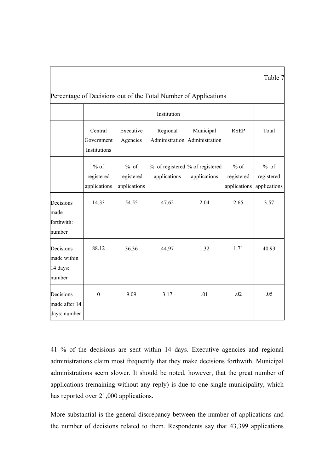|                                                                 |                                       |                                      |                                                 |                                            |                                      | Table 7                              |  |  |  |  |
|-----------------------------------------------------------------|---------------------------------------|--------------------------------------|-------------------------------------------------|--------------------------------------------|--------------------------------------|--------------------------------------|--|--|--|--|
| Percentage of Decisions out of the Total Number of Applications |                                       |                                      |                                                 |                                            |                                      |                                      |  |  |  |  |
|                                                                 |                                       |                                      | Institution                                     |                                            |                                      |                                      |  |  |  |  |
|                                                                 | Central<br>Government<br>Institutions | Executive<br>Agencies                | Regional                                        | Municipal<br>Administration Administration | <b>RSEP</b>                          | Total                                |  |  |  |  |
|                                                                 | $%$ of<br>registered<br>applications  | $%$ of<br>registered<br>applications | % of registered % of registered<br>applications | applications                               | $%$ of<br>registered<br>applications | $%$ of<br>registered<br>applications |  |  |  |  |
| Decisions<br>made<br>forthwith:<br>number                       | 14.33                                 | 54.55                                | 47.62                                           | 2.04                                       | 2.65                                 | 3.57                                 |  |  |  |  |
| Decisions<br>made within<br>14 days:<br>number                  | 88.12                                 | 36.36                                | 44.97                                           | 1.32                                       | 1.71                                 | 40.93                                |  |  |  |  |
| Decisions<br>made after 14<br>days: number                      | $\Omega$                              | 9.09                                 | 3.17                                            | .01                                        | .02                                  | .05                                  |  |  |  |  |

41 % of the decisions are sent within 14 days. Executive agencies and regional administrations claim most frequently that they make decisions forthwith. Municipal administrations seem slower. It should be noted, however, that the great number of applications (remaining without any reply) is due to one single municipality, which has reported over 21,000 applications.

More substantial is the general discrepancy between the number of applications and the number of decisions related to them. Respondents say that 43,399 applications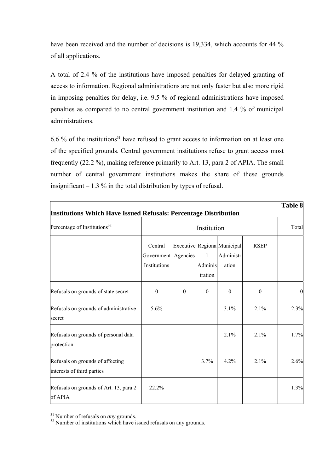have been received and the number of decisions is 19,334, which accounts for 44 % of all applications.

A total of 2.4 % of the institutions have imposed penalties for delayed granting of access to information. Regional administrations are not only faster but also more rigid in imposing penalties for delay, i.e. 9.5 % of regional administrations have imposed penalties as compared to no central government institution and 1.4 % of municipal administrations.

6.6 % of the institutions<sup>31</sup> have refused to grant access to information on at least one of the specified grounds. Central government institutions refuse to grant access most frequently (22.2 %), making reference primarily to Art. 13, para 2 of APIA. The small number of central government institutions makes the share of these grounds insignificant  $-1.3$  % in the total distribution by types of refusal.

| Institutions Which Have Issued Refusals: Percentage Distribution |                                       |                  |                         |                                                   |                  |      |  |
|------------------------------------------------------------------|---------------------------------------|------------------|-------------------------|---------------------------------------------------|------------------|------|--|
| Percentage of Institutions <sup>32</sup>                         |                                       | Institution      |                         |                                                   |                  |      |  |
|                                                                  | Central<br>Government<br>Institutions | Agencies         | 1<br>Adminis<br>tration | Executive Regiona Municipal<br>Administr<br>ation | <b>RSEP</b>      |      |  |
| Refusals on grounds of state secret                              | $\boldsymbol{0}$                      | $\boldsymbol{0}$ | $\mathbf{0}$            | $\mathbf{0}$                                      | $\boldsymbol{0}$ |      |  |
| Refusals on grounds of administrative<br>secret                  | 5.6%                                  |                  |                         | 3.1%                                              | 2.1%             | 2.3% |  |
| Refusals on grounds of personal data<br>protection               |                                       |                  |                         | 2.1%                                              | 2.1%             | 1.7% |  |
| Refusals on grounds of affecting<br>interests of third parties   |                                       |                  | 3.7%                    | $4.2\%$                                           | 2.1%             | 2.6% |  |
| Refusals on grounds of Art. 13, para 2<br>of APIA                | 22.2%                                 |                  |                         |                                                   |                  | 1.3% |  |

 $31$  Number of refusals on *any* grounds.

<sup>&</sup>lt;sup>32</sup> Number of institutions which have issued refusals on any grounds.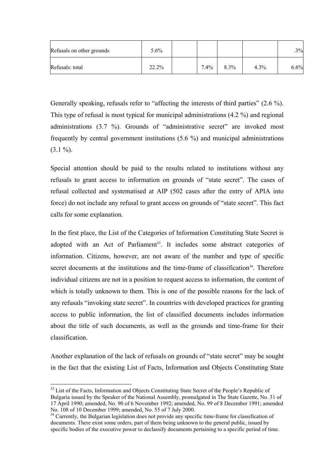| Refusals on other grounds | 5.6%  |         |         |      | .3%  |
|---------------------------|-------|---------|---------|------|------|
| Refusals: total           | 22.2% | $7.4\%$ | $8.3\%$ | 4.3% | 6.6% |

Generally speaking, refusals refer to "affecting the interests of third parties"  $(2.6\%)$ . This type of refusal is most typical for municipal administrations (4.2 %) and regional administrations  $(3.7 \%)$ . Grounds of "administrative secret" are invoked most frequently by central government institutions (5.6 %) and municipal administrations  $(3.1\%)$ .

Special attention should be paid to the results related to institutions without any refusals to grant access to information on grounds of "state secret". The cases of refusal collected and systematised at AIP (502 cases after the entry of APIA into force) do not include any refusal to grant access on grounds of "state secret". This fact calls for some explanation.

In the first place, the List of the Categories of Information Constituting State Secret is adopted with an Act of Parliament<sup>33</sup>. It includes some abstract categories of information. Citizens, however, are not aware of the number and type of specific secret documents at the institutions and the time-frame of classification<sup>34</sup>. Therefore individual citizens are not in a position to request access to information, the content of which is totally unknown to them. This is one of the possible reasons for the lack of any refusals "invoking state secret". In countries with developed practices for granting access to public information, the list of classified documents includes information about the title of such documents, as well as the grounds and time-frame for their classification.

Another explanation of the lack of refusals on grounds of "state secret" may be sought in the fact that the existing List of Facts, Information and Objects Constituting State

 $\overline{a}$ 

<sup>&</sup>lt;sup>33</sup> List of the Facts, Information and Objects Constituting State Secret of the People's Republic of Bulgaria issued by the Speaker of the National Assembly, promulgated in The State Gazette, No. 31 of 17 April 1990; amended, No. 90 of 6 November 1992; amended, No. 99 of 8 December 1991; amended No. 108 of 10 December 1999; amended, No. 55 of 7 July 2000.<br><sup>34</sup> Currently, the Bulgarian legislation does not provide any specific time-frame for classification of

documents. There exist some orders, part of them being unknown to the general public, issued by specific bodies of the executive power to declassify documents pertaining to a specific period of time.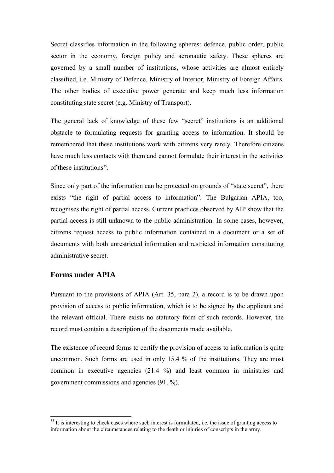Secret classifies information in the following spheres: defence, public order, public sector in the economy, foreign policy and aeronautic safety. These spheres are governed by a small number of institutions, whose activities are almost entirely classified, i.e. Ministry of Defence, Ministry of Interior, Ministry of Foreign Affairs. The other bodies of executive power generate and keep much less information constituting state secret (e.g. Ministry of Transport).

The general lack of knowledge of these few "secret" institutions is an additional obstacle to formulating requests for granting access to information. It should be remembered that these institutions work with citizens very rarely. Therefore citizens have much less contacts with them and cannot formulate their interest in the activities of these institutions<sup>35</sup>.

Since only part of the information can be protected on grounds of "state secret", there exists "the right of partial access to information". The Bulgarian APIA, too, recognises the right of partial access. Current practices observed by AIP show that the partial access is still unknown to the public administration. In some cases, however, citizens request access to public information contained in a document or a set of documents with both unrestricted information and restricted information constituting administrative secret.

## **Forms under APIA**

 $\overline{a}$ 

Pursuant to the provisions of APIA (Art. 35, para 2), a record is to be drawn upon provision of access to public information, which is to be signed by the applicant and the relevant official. There exists no statutory form of such records. However, the record must contain a description of the documents made available.

The existence of record forms to certify the provision of access to information is quite uncommon. Such forms are used in only 15.4 % of the institutions. They are most common in executive agencies (21.4 %) and least common in ministries and government commissions and agencies (91. %).

<sup>&</sup>lt;sup>35</sup> It is interesting to check cases where such interest is formulated, i.e. the issue of granting access to information about the circumstances relating to the death or injuries of conscripts in the army.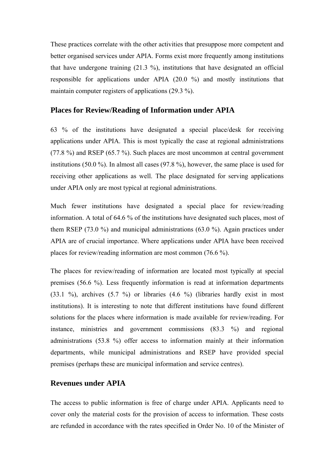These practices correlate with the other activities that presuppose more competent and better organised services under APIA. Forms exist more frequently among institutions that have undergone training (21.3 %), institutions that have designated an official responsible for applications under APIA (20.0 %) and mostly institutions that maintain computer registers of applications (29.3 %).

#### **Places for Review/Reading of Information under APIA**

63 % of the institutions have designated a special place/desk for receiving applications under APIA. This is most typically the case at regional administrations (77.8 %) and RSEP (65.7 %). Such places are most uncommon at central government institutions (50.0 %). In almost all cases (97.8 %), however, the same place is used for receiving other applications as well. The place designated for serving applications under APIA only are most typical at regional administrations.

Much fewer institutions have designated a special place for review/reading information. A total of 64.6 % of the institutions have designated such places, most of them RSEP (73.0 %) and municipal administrations (63.0 %). Again practices under APIA are of crucial importance. Where applications under APIA have been received places for review/reading information are most common (76.6 %).

The places for review/reading of information are located most typically at special premises (56.6 %). Less frequently information is read at information departments  $(33.1 \text{ %})$ , archives  $(5.7 \text{ %})$  or libraries  $(4.6 \text{ %})$  (libraries hardly exist in most institutions). It is interesting to note that different institutions have found different solutions for the places where information is made available for review/reading. For instance, ministries and government commissions (83.3 %) and regional administrations (53.8 %) offer access to information mainly at their information departments, while municipal administrations and RSEP have provided special premises (perhaps these are municipal information and service centres).

#### **Revenues under APIA**

The access to public information is free of charge under APIA. Applicants need to cover only the material costs for the provision of access to information. These costs are refunded in accordance with the rates specified in Order No. 10 of the Minister of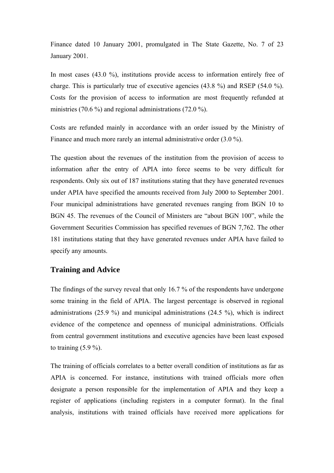Finance dated 10 January 2001, promulgated in The State Gazette, No. 7 of 23 January 2001.

In most cases (43.0 %), institutions provide access to information entirely free of charge. This is particularly true of executive agencies (43.8 %) and RSEP (54.0 %). Costs for the provision of access to information are most frequently refunded at ministries (70.6 %) and regional administrations (72.0 %).

Costs are refunded mainly in accordance with an order issued by the Ministry of Finance and much more rarely an internal administrative order (3.0 %).

The question about the revenues of the institution from the provision of access to information after the entry of APIA into force seems to be very difficult for respondents. Only six out of 187 institutions stating that they have generated revenues under APIA have specified the amounts received from July 2000 to September 2001. Four municipal administrations have generated revenues ranging from BGN 10 to BGN 45. The revenues of the Council of Ministers are "about BGN 100", while the Government Securities Commission has specified revenues of BGN 7,762. The other 181 institutions stating that they have generated revenues under APIA have failed to specify any amounts.

#### **Training and Advice**

The findings of the survey reveal that only 16.7 % of the respondents have undergone some training in the field of APIA. The largest percentage is observed in regional administrations (25.9 %) and municipal administrations (24.5 %), which is indirect evidence of the competence and openness of municipal administrations. Officials from central government institutions and executive agencies have been least exposed to training  $(5.9\%).$ 

The training of officials correlates to a better overall condition of institutions as far as APIA is concerned. For instance, institutions with trained officials more often designate a person responsible for the implementation of APIA and they keep a register of applications (including registers in a computer format). In the final analysis, institutions with trained officials have received more applications for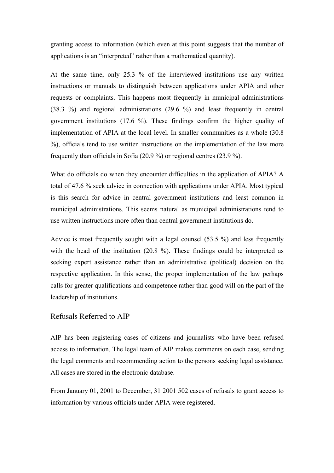granting access to information (which even at this point suggests that the number of applications is an "interpreted" rather than a mathematical quantity).

At the same time, only 25.3 % of the interviewed institutions use any written instructions or manuals to distinguish between applications under APIA and other requests or complaints. This happens most frequently in municipal administrations (38.3 %) and regional administrations (29.6 %) and least frequently in central government institutions (17.6 %). These findings confirm the higher quality of implementation of APIA at the local level. In smaller communities as a whole (30.8 %), officials tend to use written instructions on the implementation of the law more frequently than officials in Sofia (20.9 %) or regional centres (23.9 %).

What do officials do when they encounter difficulties in the application of APIA? A total of 47.6 % seek advice in connection with applications under APIA. Most typical is this search for advice in central government institutions and least common in municipal administrations. This seems natural as municipal administrations tend to use written instructions more often than central government institutions do.

Advice is most frequently sought with a legal counsel (53.5 %) and less frequently with the head of the institution (20.8 %). These findings could be interpreted as seeking expert assistance rather than an administrative (political) decision on the respective application. In this sense, the proper implementation of the law perhaps calls for greater qualifications and competence rather than good will on the part of the leadership of institutions.

#### Refusals Referred to AIP

AIP has been registering cases of citizens and journalists who have been refused access to information. The legal team of AIP makes comments on each case, sending the legal comments and recommending action to the persons seeking legal assistance. All cases are stored in the electronic database.

From January 01, 2001 to December, 31 2001 502 cases of refusals to grant access to information by various officials under APIA were registered.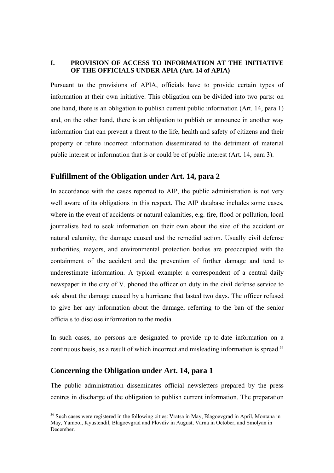#### **I. PROVISION OF ACCESS TO INFORMATION AT THE INITIATIVE OF THE OFFICIALS UNDER APIA (Art. 14 of APIA)**

Pursuant to the provisions of APIA, officials have to provide certain types of information at their own initiative. This obligation can be divided into two parts: on one hand, there is an obligation to publish current public information (Art. 14, para 1) and, on the other hand, there is an obligation to publish or announce in another way information that can prevent a threat to the life, health and safety of citizens and their property or refute incorrect information disseminated to the detriment of material public interest or information that is or could be of public interest (Art. 14, para 3).

#### **Fulfillment of the Obligation under Art. 14, para 2**

In accordance with the cases reported to AIP, the public administration is not very well aware of its obligations in this respect. The AIP database includes some cases, where in the event of accidents or natural calamities, e.g. fire, flood or pollution, local journalists had to seek information on their own about the size of the accident or natural calamity, the damage caused and the remedial action. Usually civil defense authorities, mayors, and environmental protection bodies are preoccupied with the containment of the accident and the prevention of further damage and tend to underestimate information. A typical example: a correspondent of a central daily newspaper in the city of V. phoned the officer on duty in the civil defense service to ask about the damage caused by a hurricane that lasted two days. The officer refused to give her any information about the damage, referring to the ban of the senior officials to disclose information to the media.

In such cases, no persons are designated to provide up-to-date information on a continuous basis, as a result of which incorrect and misleading information is spread.<sup>36</sup>

#### **Concerning the Obligation under Art. 14, para 1**

 $\overline{a}$ 

The public administration disseminates official newsletters prepared by the press centres in discharge of the obligation to publish current information. The preparation

<sup>&</sup>lt;sup>36</sup> Such cases were registered in the following cities: Vratsa in May, Blagoevgrad in April, Montana in May, Yambol, Kyustendil, Blagoevgrad and Plovdiv in August, Varna in October, and Smolyan in December.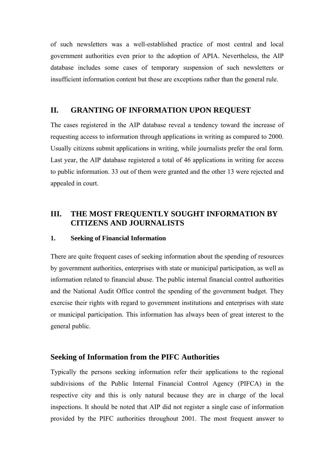of such newsletters was a well-established practice of most central and local government authorities even prior to the adoption of APIA. Nevertheless, the AIP database includes some cases of temporary suspension of such newsletters or insufficient information content but these are exceptions rather than the general rule.

## **II. GRANTING OF INFORMATION UPON REQUEST**

The cases registered in the AIP database reveal a tendency toward the increase of requesting access to information through applications in writing as compared to 2000. Usually citizens submit applications in writing, while journalists prefer the oral form. Last year, the AIP database registered a total of 46 applications in writing for access to public information. 33 out of them were granted and the other 13 were rejected and appealed in court.

## **III. THE MOST FREQUENTLY SOUGHT INFORMATION BY CITIZENS AND JOURNALISTS**

#### **1. Seeking of Financial Information**

There are quite frequent cases of seeking information about the spending of resources by government authorities, enterprises with state or municipal participation, as well as information related to financial abuse. The public internal financial control authorities and the National Audit Office control the spending of the government budget. They exercise their rights with regard to government institutions and enterprises with state or municipal participation. This information has always been of great interest to the general public.

#### **Seeking of Information from the PIFC Authorities**

Typically the persons seeking information refer their applications to the regional subdivisions of the Public Internal Financial Control Agency (PIFCA) in the respective city and this is only natural because they are in charge of the local inspections. It should be noted that AIP did not register a single case of information provided by the PIFC authorities throughout 2001. The most frequent answer to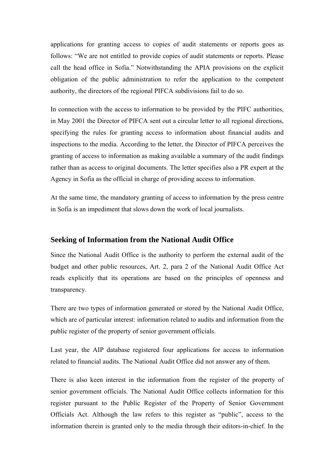applications for granting access to copies of audit statements or reports goes as follows: "We are not entitled to provide copies of audit statements or reports. Please call the head office in Sofia." Notwithstanding the APIA provisions on the explicit obligation of the public administration to refer the application to the competent authority, the directors of the regional PIFCA subdivisions fail to do so.

In connection with the access to information to be provided by the PIFC authorities, in May 2001 the Director of PIFCA sent out a circular letter to all regional directions, specifying the rules for granting access to information about financial audits and inspections to the media. According to the letter, the Director of PIFCA perceives the granting of access to information as making available a summary of the audit findings rather than as access to original documents. The letter specifies also a PR expert at the Agency in Sofia as the official in charge of providing access to information.

At the same time, the mandatory granting of access to information by the press centre in Sofia is an impediment that slows down the work of local journalists.

#### **Seeking of Information from the National Audit Office**

Since the National Audit Office is the authority to perform the external audit of the budget and other public resources, Art. 2, para 2 of the National Audit Office Act reads explicitly that its operations are based on the principles of openness and transparency.

There are two types of information generated or stored by the National Audit Office, which are of particular interest: information related to audits and information from the public register of the property of senior government officials.

Last year, the AIP database registered four applications for access to information related to financial audits. The National Audit Office did not answer any of them.

There is also keen interest in the information from the register of the property of senior government officials. The National Audit Office collects information for this register pursuant to the Public Register of the Property of Senior Government Officials Act. Although the law refers to this register as "public", access to the information therein is granted only to the media through their editors-in-chief. In the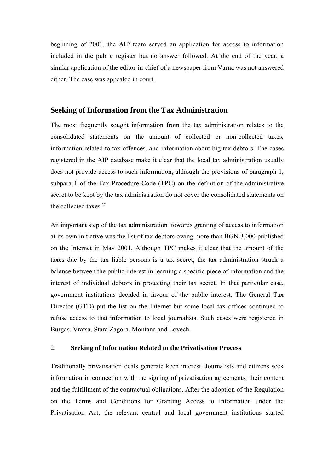beginning of 2001, the AIP team served an application for access to information included in the public register but no answer followed. At the end of the year, a similar application of the editor-in-chief of a newspaper from Varna was not answered either. The case was appealed in court.

#### **Seeking of Information from the Tax Administration**

The most frequently sought information from the tax administration relates to the consolidated statements on the amount of collected or non-collected taxes, information related to tax offences, and information about big tax debtors. The cases registered in the AIP database make it clear that the local tax administration usually does not provide access to such information, although the provisions of paragraph 1, subpara 1 of the Tax Procedure Code (TPC) on the definition of the administrative secret to be kept by the tax administration do not cover the consolidated statements on the collected taxes  $37$ 

An important step of the tax administration towards granting of access to information at its own initiative was the list of tax debtors owing more than BGN 3,000 published on the Internet in May 2001. Although TPC makes it clear that the amount of the taxes due by the tax liable persons is a tax secret, the tax administration struck a balance between the public interest in learning a specific piece of information and the interest of individual debtors in protecting their tax secret. In that particular case, government institutions decided in favour of the public interest. The General Tax Director (GTD) put the list on the Internet but some local tax offices continued to refuse access to that information to local journalists. Such cases were registered in Burgas, Vratsa, Stara Zagora, Montana and Lovech.

#### 2. **Seeking of Information Related to the Privatisation Process**

Traditionally privatisation deals generate keen interest. Journalists and citizens seek information in connection with the signing of privatisation agreements, their content and the fulfillment of the contractual obligations. After the adoption of the Regulation on the Terms and Conditions for Granting Access to Information under the Privatisation Act, the relevant central and local government institutions started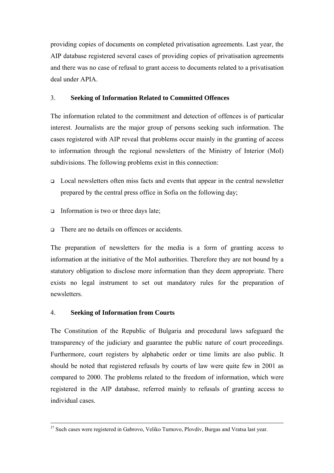providing copies of documents on completed privatisation agreements. Last year, the AIP database registered several cases of providing copies of privatisation agreements and there was no case of refusal to grant access to documents related to a privatisation deal under APIA.

### 3. **Seeking of Information Related to Committed Offences**

The information related to the commitment and detection of offences is of particular interest. Journalists are the major group of persons seeking such information. The cases registered with AIP reveal that problems occur mainly in the granting of access to information through the regional newsletters of the Ministry of Interior (MoI) subdivisions. The following problems exist in this connection:

- $\Box$  Local newsletters often miss facts and events that appear in the central newsletter prepared by the central press office in Sofia on the following day;
- Information is two or three days late;
- $\Box$  There are no details on offences or accidents.

The preparation of newsletters for the media is a form of granting access to information at the initiative of the MoI authorities. Therefore they are not bound by a statutory obligation to disclose more information than they deem appropriate. There exists no legal instrument to set out mandatory rules for the preparation of newsletters.

## 4. **Seeking of Information from Courts**

The Constitution of the Republic of Bulgaria and procedural laws safeguard the transparency of the judiciary and guarantee the public nature of court proceedings. Furthermore, court registers by alphabetic order or time limits are also public. It should be noted that registered refusals by courts of law were quite few in 2001 as compared to 2000. The problems related to the freedom of information, which were registered in the AIP database, referred mainly to refusals of granting access to individual cases.

<sup>&</sup>lt;sup>37</sup> Such cases were registered in Gabrovo, Veliko Turnovo, Plovdiv, Burgas and Vratsa last year.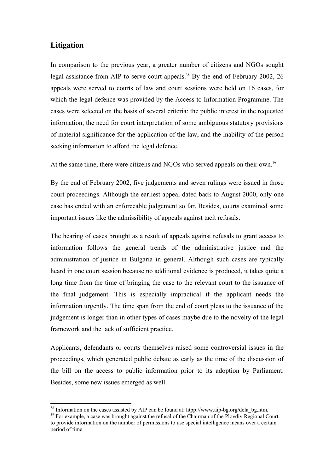## **Litigation**

 $\overline{a}$ 

In comparison to the previous year, a greater number of citizens and NGOs sought legal assistance from AIP to serve court appeals.<sup>38</sup> By the end of February 2002, 26 appeals were served to courts of law and court sessions were held on 16 cases, for which the legal defence was provided by the Access to Information Programme. The cases were selected on the basis of several criteria: the public interest in the requested information, the need for court interpretation of some ambiguous statutory provisions of material significance for the application of the law, and the inability of the person seeking information to afford the legal defence.

At the same time, there were citizens and NGOs who served appeals on their own.<sup>39</sup>

By the end of February 2002, five judgements and seven rulings were issued in those court proceedings. Although the earliest appeal dated back to August 2000, only one case has ended with an enforceable judgement so far. Besides, courts examined some important issues like the admissibility of appeals against tacit refusals.

The hearing of cases brought as a result of appeals against refusals to grant access to information follows the general trends of the administrative justice and the administration of justice in Bulgaria in general. Although such cases are typically heard in one court session because no additional evidence is produced, it takes quite a long time from the time of bringing the case to the relevant court to the issuance of the final judgement. This is especially impractical if the applicant needs the information urgently. The time span from the end of court pleas to the issuance of the judgement is longer than in other types of cases maybe due to the novelty of the legal framework and the lack of sufficient practice.

Applicants, defendants or courts themselves raised some controversial issues in the proceedings, which generated public debate as early as the time of the discussion of the bill on the access to public information prior to its adoption by Parliament. Besides, some new issues emerged as well.

<sup>&</sup>lt;sup>38</sup> Information on the cases assisted by AIP can be found at: htpp://www.aip-bg.org/dela\_bg.htm. <sup>39</sup> For example, a case was brought against the refusal of the Chairman of the Plovdiv Regional Court

to provide information on the number of permissions to use special intelligence means over a certain period of time.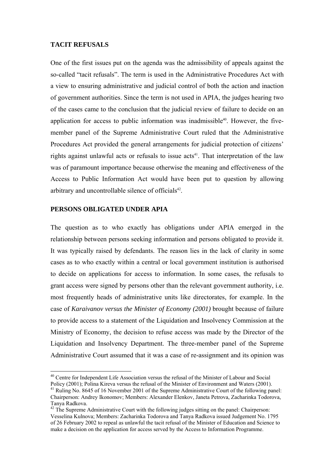#### **TACIT REFUSALS**

One of the first issues put on the agenda was the admissibility of appeals against the so-called "tacit refusals". The term is used in the Administrative Procedures Act with a view to ensuring administrative and judicial control of both the action and inaction of government authorities. Since the term is not used in APIA, the judges hearing two of the cases came to the conclusion that the judicial review of failure to decide on an application for access to public information was inadmissible<sup>40</sup>. However, the fivemember panel of the Supreme Administrative Court ruled that the Administrative Procedures Act provided the general arrangements for judicial protection of citizens' rights against unlawful acts or refusals to issue acts<sup>41</sup>. That interpretation of the law was of paramount importance because otherwise the meaning and effectiveness of the Access to Public Information Act would have been put to question by allowing arbitrary and uncontrollable silence of officials<sup>42</sup>.

#### **PERSONS OBLIGATED UNDER APIA**

 $\overline{a}$ 

The question as to who exactly has obligations under APIA emerged in the relationship between persons seeking information and persons obligated to provide it. It was typically raised by defendants. The reason lies in the lack of clarity in some cases as to who exactly within a central or local government institution is authorised to decide on applications for access to information. In some cases, the refusals to grant access were signed by persons other than the relevant government authority, i.e. most frequently heads of administrative units like directorates, for example. In the case of *Karaivanov versus the Minister of Economy (2001)* brought because of failure to provide access to a statement of the Liquidation and Insolvency Commission at the Ministry of Economy, the decision to refuse access was made by the Director of the Liquidation and Insolvency Department. The three-member panel of the Supreme Administrative Court assumed that it was a case of re-assignment and its opinion was

<sup>&</sup>lt;sup>40</sup> Centre for Independent Life Association versus the refusal of the Minister of Labour and Social Policy (2001); Polina Kireva versus the refusal of the Minister of Environment and Waters (2001).

<sup>&</sup>lt;sup>41</sup> Ruling No. 8645 of 16 November 2001 of the Supreme Administrative Court of the following panel: Chairperson: Andrey Ikonomov; Members: Alexander Elenkov, Janeta Petrova, Zacharinka Todorova, Tanya Radkova.

<sup>&</sup>lt;sup>42</sup> The Supreme Administrative Court with the following judges sitting on the panel: Chairperson: Vesselina Kulnova; Members: Zacharinka Todorova and Tanya Radkova issued Judgement No. 1795 of 26 February 2002 to repeal as unlawful the tacit refusal of the Minister of Education and Science to make a decision on the application for access served by the Access to Information Programme.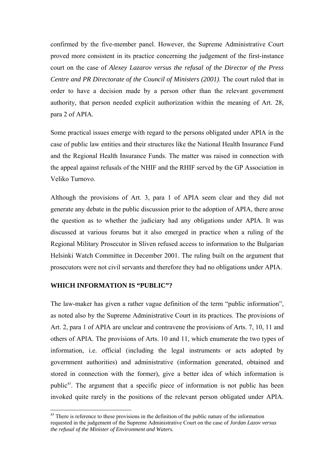confirmed by the five-member panel. However, the Supreme Administrative Court proved more consistent in its practice concerning the judgement of the first-instance court on the case of *Alexey Lazarov versus the refusal of the Director of the Press Centre and PR Directorate of the Council of Ministers (2001)*. The court ruled that in order to have a decision made by a person other than the relevant government authority, that person needed explicit authorization within the meaning of Art. 28, para 2 of APIA.

Some practical issues emerge with regard to the persons obligated under APIA in the case of public law entities and their structures like the National Health Insurance Fund and the Regional Health Insurance Funds. The matter was raised in connection with the appeal against refusals of the NHIF and the RHIF served by the GP Association in Veliko Turnovo.

Although the provisions of Art. 3, para 1 of APIA seem clear and they did not generate any debate in the public discussion prior to the adoption of APIA, there arose the question as to whether the judiciary had any obligations under APIA. It was discussed at various forums but it also emerged in practice when a ruling of the Regional Military Prosecutor in Sliven refused access to information to the Bulgarian Helsinki Watch Committee in December 2001. The ruling built on the argument that prosecutors were not civil servants and therefore they had no obligations under APIA.

#### **WHICH INFORMATION IS "PUBLIC"?**

 $\overline{a}$ 

The law-maker has given a rather vague definition of the term "public information", as noted also by the Supreme Administrative Court in its practices. The provisions of Art. 2, para 1 of APIA are unclear and contravene the provisions of Arts. 7, 10, 11 and others of APIA. The provisions of Arts. 10 and 11, which enumerate the two types of information, i.e. official (including the legal instruments or acts adopted by government authorities) and administrative (information generated, obtained and stored in connection with the former), give a better idea of which information is public<sup>43</sup>. The argument that a specific piece of information is not public has been invoked quite rarely in the positions of the relevant person obligated under APIA.

 $43$  There is reference to these provisions in the definition of the public nature of the information requested in the judgement of the Supreme Administrative Court on the case of *Jordan Lazov versus the refusal of the Minister of Environment and Waters.*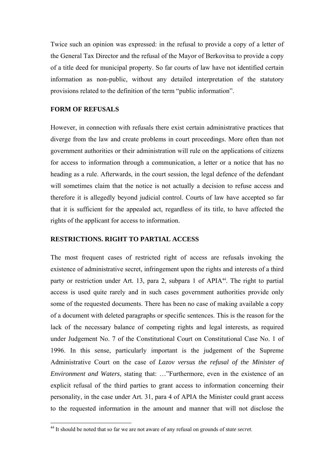Twice such an opinion was expressed: in the refusal to provide a copy of a letter of the General Tax Director and the refusal of the Mayor of Berkovitsa to provide a copy of a title deed for municipal property. So far courts of law have not identified certain information as non-public, without any detailed interpretation of the statutory provisions related to the definition of the term "public information".

#### **FORM OF REFUSALS**

 $\overline{a}$ 

However, in connection with refusals there exist certain administrative practices that diverge from the law and create problems in court proceedings. More often than not government authorities or their administration will rule on the applications of citizens for access to information through a communication, a letter or a notice that has no heading as a rule. Afterwards, in the court session, the legal defence of the defendant will sometimes claim that the notice is not actually a decision to refuse access and therefore it is allegedly beyond judicial control. Courts of law have accepted so far that it is sufficient for the appealed act, regardless of its title, to have affected the rights of the applicant for access to information.

#### **RESTRICTIONS. RIGHT TO PARTIAL ACCESS**

The most frequent cases of restricted right of access are refusals invoking the existence of administrative secret, infringement upon the rights and interests of a third party or restriction under Art. 13, para 2, subpara 1 of APIA<sup>44</sup>. The right to partial access is used quite rarely and in such cases government authorities provide only some of the requested documents. There has been no case of making available a copy of a document with deleted paragraphs or specific sentences. This is the reason for the lack of the necessary balance of competing rights and legal interests, as required under Judgement No. 7 of the Constitutional Court on Constitutional Case No. 1 of 1996. In this sense, particularly important is the judgement of the Supreme Administrative Court on the case of *Lazov versus the refusal of the Minister of Environment and Waters*, stating that: ... *"Furthermore*, even in the existence of an explicit refusal of the third parties to grant access to information concerning their personality, in the case under Art. 31, para 4 of APIA the Minister could grant access to the requested information in the amount and manner that will not disclose the

<sup>44</sup> It should be noted that so far we are not aware of any refusal on grounds of *state secret*.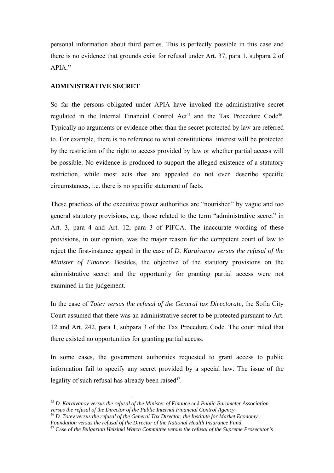personal information about third parties. This is perfectly possible in this case and there is no evidence that grounds exist for refusal under Art. 37, para 1, subpara 2 of APIA."

#### **ADMINISTRATIVE SECRET**

So far the persons obligated under APIA have invoked the administrative secret regulated in the Internal Financial Control Act<sup>45</sup> and the Tax Procedure Code<sup>46</sup>. Typically no arguments or evidence other than the secret protected by law are referred to. For example, there is no reference to what constitutional interest will be protected by the restriction of the right to access provided by law or whether partial access will be possible. No evidence is produced to support the alleged existence of a statutory restriction, while most acts that are appealed do not even describe specific circumstances, i.e. there is no specific statement of facts.

These practices of the executive power authorities are "nourished" by vague and too general statutory provisions, e.g. those related to the term "administrative secret" in Art. 3, para 4 and Art. 12, para 3 of PIFCA. The inaccurate wording of these provisions, in our opinion, was the major reason for the competent court of law to reject the first-instance appeal in the case of *D. Karaivanov versus the refusal of the Minister of Finance*. Besides, the objective of the statutory provisions on the administrative secret and the opportunity for granting partial access were not examined in the judgement.

In the case of *Totev versus the refusal of the General tax Directorate*, the Sofia City Court assumed that there was an administrative secret to be protected pursuant to Art. 12 and Art. 242, para 1, subpara 3 of the Tax Procedure Code. The court ruled that there existed no opportunities for granting partial access.

In some cases, the government authorities requested to grant access to public information fail to specify any secret provided by a special law. The issue of the legality of such refusal has already been raised<sup>47</sup>.

 $\overline{a}$ 

<sup>&</sup>lt;sup>45</sup> D. Karaivanov versus the refusal of the Minister of Finance and Public Barometer Association versus the refusal of the Director of the Public Internal Financial Control Agency.

<sup>&</sup>lt;sup>46</sup> *D. Totev versus the refusal of the General Tax Director, the Institute for Market Economy Foundation versus the refusal of the Director of the National Health Insurance Fund.* 

<sup>47</sup> Case of *the Bulgarian Helsinki Watch Committee versus the refusal of the Supreme Prosecutor's*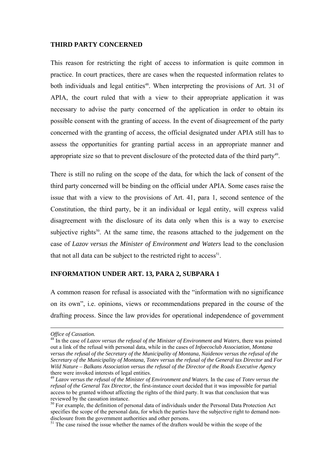#### **THIRD PARTY CONCERNED**

This reason for restricting the right of access to information is quite common in practice. In court practices, there are cases when the requested information relates to both individuals and legal entities<sup>48</sup>. When interpreting the provisions of Art. 31 of APIA, the court ruled that with a view to their appropriate application it was necessary to advise the party concerned of the application in order to obtain its possible consent with the granting of access. In the event of disagreement of the party concerned with the granting of access, the official designated under APIA still has to assess the opportunities for granting partial access in an appropriate manner and appropriate size so that to prevent disclosure of the protected data of the third party<sup>49</sup>.

There is still no ruling on the scope of the data, for which the lack of consent of the third party concerned will be binding on the official under APIA. Some cases raise the issue that with a view to the provisions of Art. 41, para 1, second sentence of the Constitution, the third party, be it an individual or legal entity, will express valid disagreement with the disclosure of its data only when this is a way to exercise subjective rights<sup>50</sup>. At the same time, the reasons attached to the judgement on the case of *Lazov versus the Minister of Environment and Waters* lead to the conclusion that not all data can be subject to the restricted right to  $access^{51}$ .

#### **INFORMATION UNDER ART. 13, PARA 2, SUBPARA 1**

A common reason for refusal is associated with the "information with no significance" on its ownî, i.e. opinions, views or recommendations prepared in the course of the drafting process. Since the law provides for operational independence of government

 $\overline{a}$ 

*Office of Cassation.* 

<sup>48</sup> In the case of *Lazov versus the refusal of the Minister of Environment and Waters*, there was pointed out a link of the refusal with personal data, while in the cases of *Infoecoclub Association, Montana versus the refusal of the Secretary of the Municipality of Montana, Naidenov versus the refusal of the Secretary of the Municipality of Montana, Totev versus the refusal of the General tax Director* and *For Wild Nature – Balkans Association versus the refusal of the Director of the Roads Executive Agency*  there were invoked interests of legal entities.

<sup>49</sup> *Lazov versus the refusal of the Minister of Environment and Waters.* In the case of *Totev versus the refusal of the General Tax Director*, the first-instance court decided that it was impossible for partial access to be granted without affecting the rights of the third party. It was that conclusion that was reviewed by the cassation instance.

<sup>&</sup>lt;sup>50</sup> For example, the definition of personal data of individuals under the Personal Data Protection Act specifies the scope of the personal data, for which the parties have the subjective right to demand nondisclosure from the government authorities and other persons.

<sup>&</sup>lt;sup>51</sup> The case raised the issue whether the names of the drafters would be within the scope of the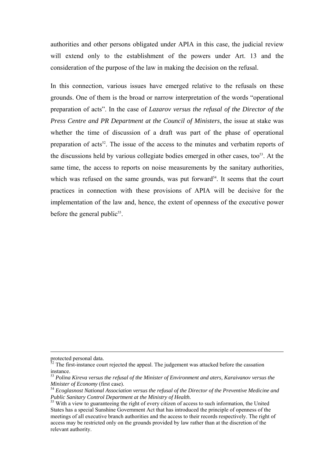authorities and other persons obligated under APIA in this case, the judicial review will extend only to the establishment of the powers under Art. 13 and the consideration of the purpose of the law in making the decision on the refusal.

In this connection, various issues have emerged relative to the refusals on these grounds. One of them is the broad or narrow interpretation of the words "operational" preparation of actsî. In the case of *Lazarov versus the refusal of the Director of the Press Centre and PR Department at the Council of Ministers*, the issue at stake was whether the time of discussion of a draft was part of the phase of operational preparation of acts<sup>52</sup>. The issue of the access to the minutes and verbatim reports of the discussions held by various collegiate bodies emerged in other cases, too<sup>53</sup>. At the same time, the access to reports on noise measurements by the sanitary authorities, which was refused on the same grounds, was put forward $54$ . It seems that the court practices in connection with these provisions of APIA will be decisive for the implementation of the law and, hence, the extent of openness of the executive power before the general public<sup>55</sup>.

protected personal data.

 $52$  The first-instance court rejected the appeal. The judgement was attacked before the cassation instance.

<sup>53</sup> *Polina Kireva versus the refusal of the Minister of Environment and aters, Karaivanov versus the* 

<sup>&</sup>lt;sup>54</sup> Ecoglasnost National Association versus the refusal of the Director of the Preventive Medicine and *Public Sanitary Control Department at the Ministry of Health.* 

<sup>&</sup>lt;sup>55</sup> With a view to guaranteeing the right of every citizen of access to such information, the United States has a special Sunshine Government Act that has introduced the principle of openness of the meetings of all executive branch authorities and the access to their records respectively. The right of access may be restricted only on the grounds provided by law rather than at the discretion of the relevant authority.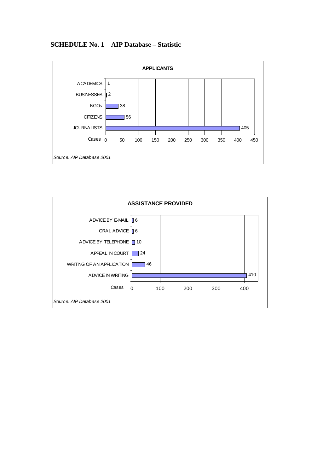

#### **SCHEDULE No. 1 AIP Database – Statistic**

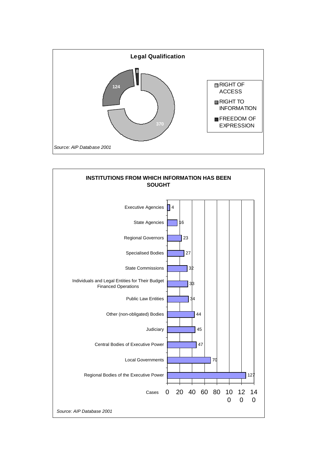

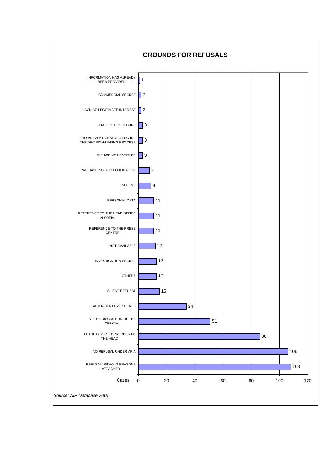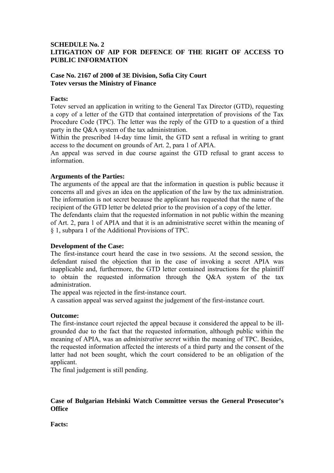#### **SCHEDULE No. 2 LITIGATION OF AIP FOR DEFENCE OF THE RIGHT OF ACCESS TO PUBLIC INFORMATION**

#### **Case No. 2167 of 2000 of 3E Division, Sofia City Court Totev versus the Ministry of Finance**

#### **Facts:**

Totev served an application in writing to the General Tax Director (GTD), requesting a copy of a letter of the GTD that contained interpretation of provisions of the Tax Procedure Code (TPC). The letter was the reply of the GTD to a question of a third party in the Q&A system of the tax administration.

Within the prescribed 14-day time limit, the GTD sent a refusal in writing to grant access to the document on grounds of Art. 2, para 1 of APIA.

An appeal was served in due course against the GTD refusal to grant access to information.

#### **Arguments of the Parties:**

The arguments of the appeal are that the information in question is public because it concerns all and gives an idea on the application of the law by the tax administration. The information is not secret because the applicant has requested that the name of the recipient of the GTD letter be deleted prior to the provision of a copy of the letter.

The defendants claim that the requested information in not public within the meaning of Art. 2, para 1 of APIA and that it is an administrative secret within the meaning of ß 1, subpara 1 of the Additional Provisions of TPC.

#### **Development of the Case:**

The first-instance court heard the case in two sessions. At the second session, the defendant raised the objection that in the case of invoking a secret APIA was inapplicable and, furthermore, the GTD letter contained instructions for the plaintiff to obtain the requested information through the Q&A system of the tax administration.

The appeal was rejected in the first-instance court.

A cassation appeal was served against the judgement of the first-instance court.

#### **Outcome:**

The first-instance court rejected the appeal because it considered the appeal to be illgrounded due to the fact that the requested information, although public within the meaning of APIA, was an *administrative secret* within the meaning of TPC. Besides, the requested information affected the interests of a third party and the consent of the latter had not been sought, which the court considered to be an obligation of the applicant.

The final judgement is still pending.

#### **Case of Bulgarian Helsinki Watch Committee versus the General Prosecutor's Office**

**Facts:**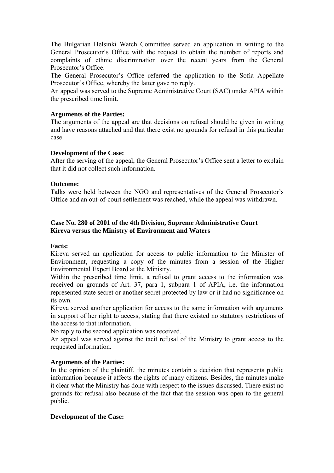The Bulgarian Helsinki Watch Committee served an application in writing to the General Prosecutor's Office with the request to obtain the number of reports and complaints of ethnic discrimination over the recent years from the General Prosecutor's Office.

The General Prosecutor's Office referred the application to the Sofia Appellate Prosecutor's Office, whereby the latter gave no reply.

An appeal was served to the Supreme Administrative Court (SAC) under APIA within the prescribed time limit.

#### **Arguments of the Parties:**

The arguments of the appeal are that decisions on refusal should be given in writing and have reasons attached and that there exist no grounds for refusal in this particular case.

#### **Development of the Case:**

After the serving of the appeal, the General Prosecutor's Office sent a letter to explain that it did not collect such information.

#### **Outcome:**

Talks were held between the NGO and representatives of the General Prosecutor's Office and an out-of-court settlement was reached, while the appeal was withdrawn.

#### **Case No. 280 of 2001 of the 4th Division, Supreme Administrative Court Kireva versus the Ministry of Environment and Waters**

#### **Facts:**

Kireva served an application for access to public information to the Minister of Environment, requesting a copy of the minutes from a session of the Higher Environmental Expert Board at the Ministry.

Within the prescribed time limit, a refusal to grant access to the information was received on grounds of Art. 37, para 1, subpara 1 of APIA, i.e. the information represented state secret or another secret protected by law or it had no significance on its own.

Kireva served another application for access to the same information with arguments in support of her right to access, stating that there existed no statutory restrictions of the access to that information.

No reply to the second application was received.

An appeal was served against the tacit refusal of the Ministry to grant access to the requested information.

#### **Arguments of the Parties:**

In the opinion of the plaintiff, the minutes contain a decision that represents public information because it affects the rights of many citizens. Besides, the minutes make it clear what the Ministry has done with respect to the issues discussed. There exist no grounds for refusal also because of the fact that the session was open to the general public.

#### **Development of the Case:**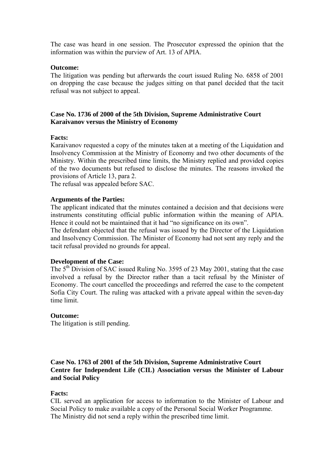The case was heard in one session. The Prosecutor expressed the opinion that the information was within the purview of Art. 13 of APIA.

#### **Outcome:**

The litigation was pending but afterwards the court issued Ruling No. 6858 of 2001 on dropping the case because the judges sitting on that panel decided that the tacit refusal was not subject to appeal.

#### **Case No. 1736 of 2000 of the 5th Division, Supreme Administrative Court Karaivanov versus the Ministry of Economy**

#### **Facts:**

Karaivanov requested a copy of the minutes taken at a meeting of the Liquidation and Insolvency Commission at the Ministry of Economy and two other documents of the Ministry. Within the prescribed time limits, the Ministry replied and provided copies of the two documents but refused to disclose the minutes. The reasons invoked the provisions of Article 13, para 2.

The refusal was appealed before SAC.

#### **Arguments of the Parties:**

The applicant indicated that the minutes contained a decision and that decisions were instruments constituting official public information within the meaning of APIA. Hence it could not be maintained that it had "no significance on its own".

The defendant objected that the refusal was issued by the Director of the Liquidation and Insolvency Commission. The Minister of Economy had not sent any reply and the tacit refusal provided no grounds for appeal.

#### **Development of the Case:**

The  $5<sup>th</sup>$  Division of SAC issued Ruling No. 3595 of 23 May 2001, stating that the case involved a refusal by the Director rather than a tacit refusal by the Minister of Economy. The court cancelled the proceedings and referred the case to the competent Sofia City Court. The ruling was attacked with a private appeal within the seven-day time limit.

#### **Outcome:**

The litigation is still pending.

#### **Case No. 1763 of 2001 of the 5th Division, Supreme Administrative Court Centre for Independent Life (CIL) Association versus the Minister of Labour and Social Policy**

#### **Facts:**

CIL served an application for access to information to the Minister of Labour and Social Policy to make available a copy of the Personal Social Worker Programme. The Ministry did not send a reply within the prescribed time limit.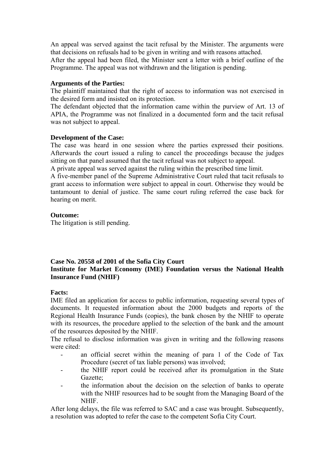An appeal was served against the tacit refusal by the Minister. The arguments were that decisions on refusals had to be given in writing and with reasons attached.

After the appeal had been filed, the Minister sent a letter with a brief outline of the Programme. The appeal was not withdrawn and the litigation is pending.

#### **Arguments of the Parties:**

The plaintiff maintained that the right of access to information was not exercised in the desired form and insisted on its protection.

The defendant objected that the information came within the purview of Art. 13 of APIA, the Programme was not finalized in a documented form and the tacit refusal was not subject to appeal.

#### **Development of the Case:**

The case was heard in one session where the parties expressed their positions. Afterwards the court issued a ruling to cancel the proceedings because the judges sitting on that panel assumed that the tacit refusal was not subject to appeal.

A private appeal was served against the ruling within the prescribed time limit.

A five-member panel of the Supreme Administrative Court ruled that tacit refusals to grant access to information were subject to appeal in court. Otherwise they would be tantamount to denial of justice. The same court ruling referred the case back for hearing on merit.

#### **Outcome:**

The litigation is still pending.

#### **Case No. 20558 of 2001 of the Sofia City Court Institute for Market Economy (IME) Foundation versus the National Health Insurance Fund (NHIF)**

#### **Facts:**

IME filed an application for access to public information, requesting several types of documents. It requested information about the 2000 budgets and reports of the Regional Health Insurance Funds (copies), the bank chosen by the NHIF to operate with its resources, the procedure applied to the selection of the bank and the amount of the resources deposited by the NHIF.

The refusal to disclose information was given in writing and the following reasons were cited<sup>-</sup>

- an official secret within the meaning of para 1 of the Code of Tax Procedure (secret of tax liable persons) was involved;
- the NHIF report could be received after its promulgation in the State Gazette;
- the information about the decision on the selection of banks to operate with the NHIF resources had to be sought from the Managing Board of the **NHIF**

After long delays, the file was referred to SAC and a case was brought. Subsequently, a resolution was adopted to refer the case to the competent Sofia City Court.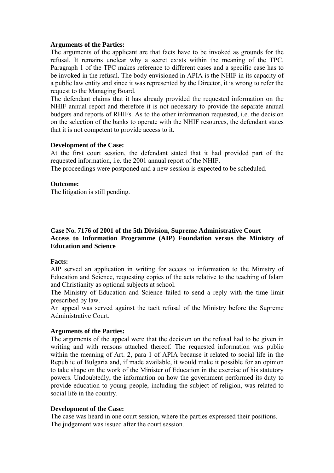#### **Arguments of the Parties:**

The arguments of the applicant are that facts have to be invoked as grounds for the refusal. It remains unclear why a secret exists within the meaning of the TPC. Paragraph 1 of the TPC makes reference to different cases and a specific case has to be invoked in the refusal. The body envisioned in APIA is the NHIF in its capacity of a public law entity and since it was represented by the Director, it is wrong to refer the request to the Managing Board.

The defendant claims that it has already provided the requested information on the NHIF annual report and therefore it is not necessary to provide the separate annual budgets and reports of RHIFs. As to the other information requested, i.e. the decision on the selection of the banks to operate with the NHIF resources, the defendant states that it is not competent to provide access to it.

#### **Development of the Case:**

At the first court session, the defendant stated that it had provided part of the requested information, i.e. the 2001 annual report of the NHIF.

The proceedings were postponed and a new session is expected to be scheduled.

#### **Outcome:**

The litigation is still pending.

#### **Case No. 7176 of 2001 of the 5th Division, Supreme Administrative Court Access to Information Programme (AIP) Foundation versus the Ministry of Education and Science**

#### **Facts:**

AIP served an application in writing for access to information to the Ministry of Education and Science, requesting copies of the acts relative to the teaching of Islam and Christianity as optional subjects at school.

The Ministry of Education and Science failed to send a reply with the time limit prescribed by law.

An appeal was served against the tacit refusal of the Ministry before the Supreme Administrative Court.

#### **Arguments of the Parties:**

The arguments of the appeal were that the decision on the refusal had to be given in writing and with reasons attached thereof. The requested information was public within the meaning of Art. 2, para 1 of APIA because it related to social life in the Republic of Bulgaria and, if made available, it would make it possible for an opinion to take shape on the work of the Minister of Education in the exercise of his statutory powers. Undoubtedly, the information on how the government performed its duty to provide education to young people, including the subject of religion, was related to social life in the country.

#### **Development of the Case:**

The case was heard in one court session, where the parties expressed their positions. The judgement was issued after the court session.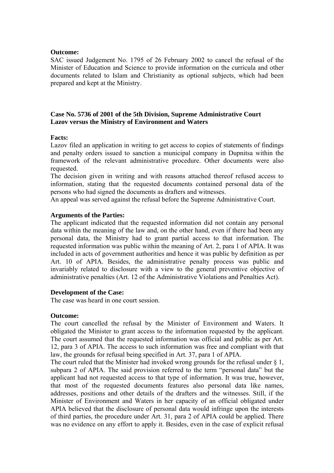#### **Outcome:**

SAC issued Judgement No. 1795 of 26 February 2002 to cancel the refusal of the Minister of Education and Science to provide information on the curricula and other documents related to Islam and Christianity as optional subjects, which had been prepared and kept at the Ministry.

#### **Case No. 5736 of 2001 of the 5th Division, Supreme Administrative Court Lazov versus the Ministry of Environment and Waters**

#### **Facts:**

Lazov filed an application in writing to get access to copies of statements of findings and penalty orders issued to sanction a municipal company in Dupnitsa within the framework of the relevant administrative procedure. Other documents were also requested.

The decision given in writing and with reasons attached thereof refused access to information, stating that the requested documents contained personal data of the persons who had signed the documents as drafters and witnesses.

An appeal was served against the refusal before the Supreme Administrative Court.

#### **Arguments of the Parties:**

The applicant indicated that the requested information did not contain any personal data within the meaning of the law and, on the other hand, even if there had been any personal data, the Ministry had to grant partial access to that information. The requested information was public within the meaning of Art. 2, para 1 of APIA. It was included in acts of government authorities and hence it was public by definition as per Art. 10 of APIA. Besides, the administrative penalty process was public and invariably related to disclosure with a view to the general preventive objective of administrative penalties (Art. 12 of the Administrative Violations and Penalties Act).

#### **Development of the Case:**

The case was heard in one court session.

#### **Outcome:**

The court cancelled the refusal by the Minister of Environment and Waters. It obligated the Minister to grant access to the information requested by the applicant. The court assumed that the requested information was official and public as per Art. 12, para 3 of APIA. The access to such information was free and compliant with that law, the grounds for refusal being specified in Art. 37, para 1 of APIA.

The court ruled that the Minister had invoked wrong grounds for the refusal under  $\frac{1}{2}$ . subpara 2 of APIA. The said provision referred to the term "personal data" but the applicant had not requested access to that type of information. It was true, however, that most of the requested documents features also personal data like names, addresses, positions and other details of the drafters and the witnesses. Still, if the Minister of Environment and Waters in her capacity of an official obligated under APIA believed that the disclosure of personal data would infringe upon the interests of third parties, the procedure under Art. 31, para 2 of APIA could be applied. There was no evidence on any effort to apply it. Besides, even in the case of explicit refusal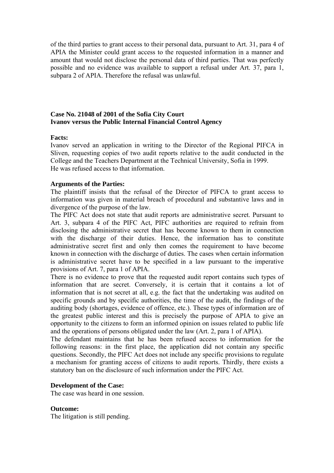of the third parties to grant access to their personal data, pursuant to Art. 31, para 4 of APIA the Minister could grant access to the requested information in a manner and amount that would not disclose the personal data of third parties. That was perfectly possible and no evidence was available to support a refusal under Art. 37, para 1, subpara 2 of APIA. Therefore the refusal was unlawful.

#### **Case No. 21048 of 2001 of the Sofia City Court Ivanov versus the Public Internal Financial Control Agency**

#### **Facts:**

Ivanov served an application in writing to the Director of the Regional PIFCA in Sliven, requesting copies of two audit reports relative to the audit conducted in the College and the Teachers Department at the Technical University, Sofia in 1999. He was refused access to that information.

#### **Arguments of the Parties:**

The plaintiff insists that the refusal of the Director of PIFCA to grant access to information was given in material breach of procedural and substantive laws and in divergence of the purpose of the law.

The PIFC Act does not state that audit reports are administrative secret. Pursuant to Art. 3, subpara 4 of the PIFC Act, PIFC authorities are required to refrain from disclosing the administrative secret that has become known to them in connection with the discharge of their duties. Hence, the information has to constitute administrative secret first and only then comes the requirement to have become known in connection with the discharge of duties. The cases when certain information is administrative secret have to be specified in a law pursuant to the imperative provisions of Art. 7, para 1 of APIA.

There is no evidence to prove that the requested audit report contains such types of information that are secret. Conversely, it is certain that it contains a lot of information that is not secret at all, e.g. the fact that the undertaking was audited on specific grounds and by specific authorities, the time of the audit, the findings of the auditing body (shortages, evidence of offence, etc.). These types of information are of the greatest public interest and this is precisely the purpose of APIA to give an opportunity to the citizens to form an informed opinion on issues related to public life and the operations of persons obligated under the law (Art. 2, para 1 of APIA).

The defendant maintains that he has been refused access to information for the following reasons: in the first place, the application did not contain any specific questions. Secondly, the PIFC Act does not include any specific provisions to regulate a mechanism for granting access of citizens to audit reports. Thirdly, there exists a statutory ban on the disclosure of such information under the PIFC Act.

#### **Development of the Case:**

The case was heard in one session.

#### **Outcome:**

The litigation is still pending.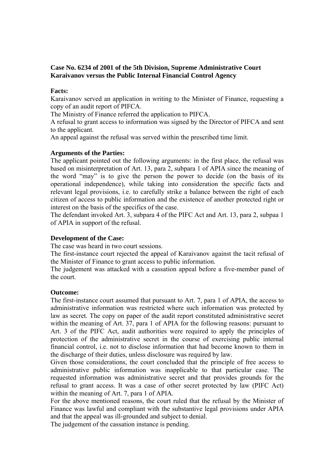#### **Case No. 6234 of 2001 of the 5th Division, Supreme Administrative Court Karaivanov versus the Public Internal Financial Control Agency**

#### **Facts:**

Karaivanov served an application in writing to the Minister of Finance, requesting a copy of an audit report of PIFCA.

The Ministry of Finance referred the application to PIFCA.

A refusal to grant access to information was signed by the Director of PIFCA and sent to the applicant.

An appeal against the refusal was served within the prescribed time limit.

#### **Arguments of the Parties:**

The applicant pointed out the following arguments: in the first place, the refusal was based on misinterpretation of Art. 13, para 2, subpara 1 of APIA since the meaning of the word "may" is to give the person the power to decide (on the basis of its operational independence), while taking into consideration the specific facts and relevant legal provisions, i.e. to carefully strike a balance between the right of each citizen of access to public information and the existence of another protected right or interest on the basis of the specifics of the case.

The defendant invoked Art. 3, subpara 4 of the PIFC Act and Art. 13, para 2, subpaa 1 of APIA in support of the refusal.

#### **Development of the Case:**

The case was heard in two court sessions.

The first-instance court rejected the appeal of Karaivanov against the tacit refusal of the Minister of Finance to grant access to public information.

The judgement was attacked with a cassation appeal before a five-member panel of the court.

#### **Outcome:**

The first-instance court assumed that pursuant to Art. 7, para 1 of APIA, the access to administrative information was restricted where such information was protected by law as secret. The copy on paper of the audit report constituted administrative secret within the meaning of Art. 37, para 1 of APIA for the following reasons: pursuant to Art. 3 of the PIFC Act, audit authorities were required to apply the principles of protection of the administrative secret in the course of exercising public internal financial control, i.e. not to disclose information that had become known to them in the discharge of their duties, unless disclosure was required by law.

Given those considerations, the court concluded that the principle of free access to administrative public information was inapplicable to that particular case. The requested information was administrative secret and that provides grounds for the refusal to grant access. It was a case of other secret protected by law (PIFC Act) within the meaning of Art. 7, para 1 of APIA.

For the above mentioned reasons, the court ruled that the refusal by the Minister of Finance was lawful and compliant with the substantive legal provisions under APIA and that the appeal was ill-grounded and subject to denial.

The judgement of the cassation instance is pending.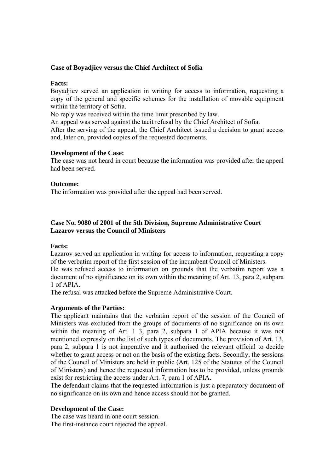#### **Case of Boyadjiev versus the Chief Architect of Sofia**

#### **Facts:**

Boyadjiev served an application in writing for access to information, requesting a copy of the general and specific schemes for the installation of movable equipment within the territory of Sofia.

No reply was received within the time limit prescribed by law.

An appeal was served against the tacit refusal by the Chief Architect of Sofia.

After the serving of the appeal, the Chief Architect issued a decision to grant access and, later on, provided copies of the requested documents.

#### **Development of the Case:**

The case was not heard in court because the information was provided after the appeal had been served.

#### **Outcome:**

The information was provided after the appeal had been served.

#### **Case No. 9080 of 2001 of the 5th Division, Supreme Administrative Court Lazarov versus the Council of Ministers**

#### **Facts:**

Lazarov served an application in writing for access to information, requesting a copy of the verbatim report of the first session of the incumbent Council of Ministers.

He was refused access to information on grounds that the verbatim report was a document of no significance on its own within the meaning of Art. 13, para 2, subpara 1 of APIA.

The refusal was attacked before the Supreme Administrative Court.

#### **Arguments of the Parties:**

The applicant maintains that the verbatim report of the session of the Council of Ministers was excluded from the groups of documents of no significance on its own within the meaning of Art. 1 3, para 2, subpara 1 of APIA because it was not mentioned expressly on the list of such types of documents. The provision of Art. 13, para 2, subpara 1 is not imperative and it authorised the relevant official to decide whether to grant access or not on the basis of the existing facts. Secondly, the sessions of the Council of Ministers are held in public (Art. 125 of the Statutes of the Council of Ministers) and hence the requested information has to be provided, unless grounds exist for restricting the access under Art. 7, para 1 of APIA.

The defendant claims that the requested information is just a preparatory document of no significance on its own and hence access should not be granted.

#### **Development of the Case:**

The case was heard in one court session. The first-instance court rejected the appeal.